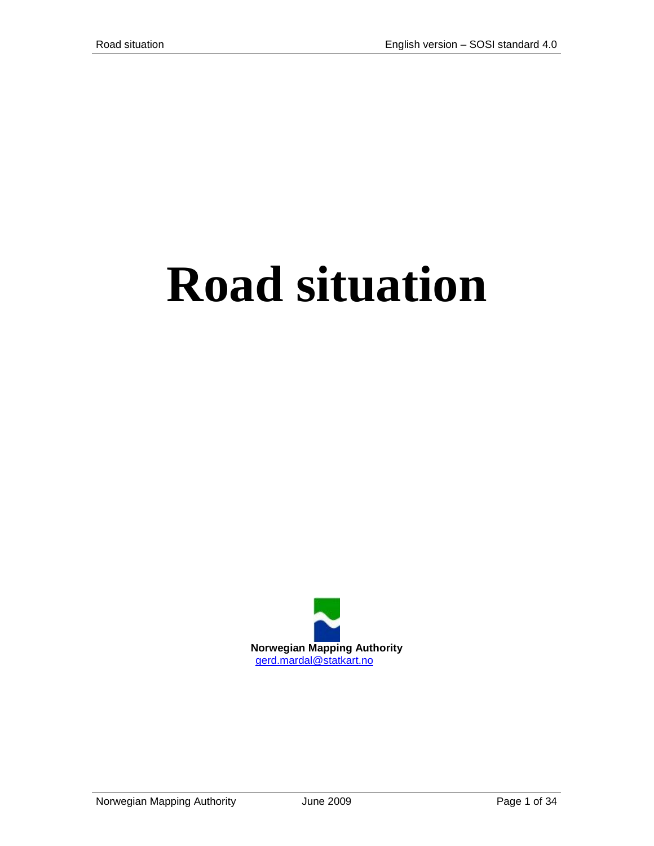# **Road situation**

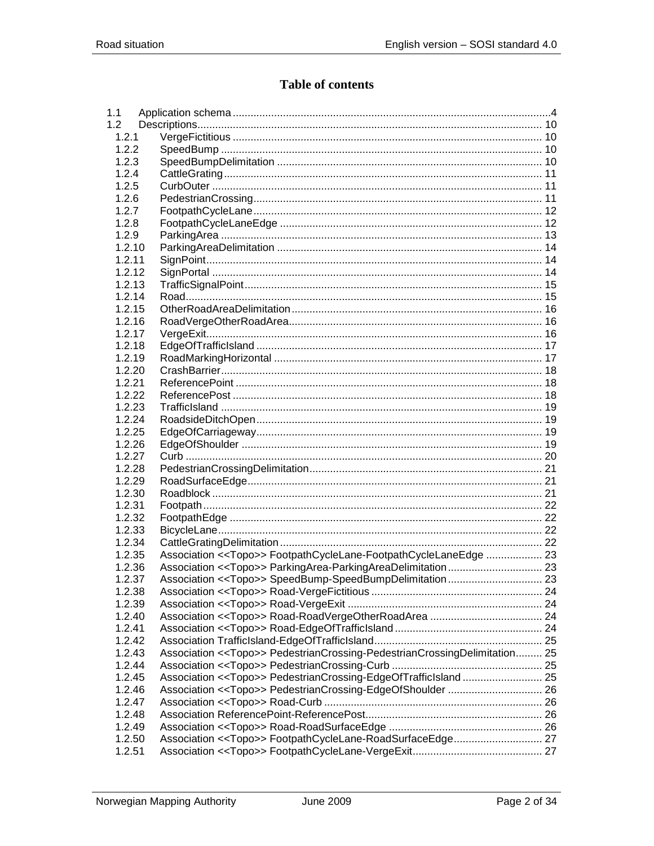# **Table of contents**

| 1.1              |        |                                                                             |  |
|------------------|--------|-----------------------------------------------------------------------------|--|
| 1.2 <sub>2</sub> |        |                                                                             |  |
|                  | 1.2.1  |                                                                             |  |
|                  | 122    |                                                                             |  |
|                  | 1.2.3  |                                                                             |  |
|                  | 1.2.4  |                                                                             |  |
|                  | 1.2.5  |                                                                             |  |
|                  | 1.2.6  |                                                                             |  |
|                  | 1.2.7  |                                                                             |  |
|                  | 1.2.8  |                                                                             |  |
|                  |        |                                                                             |  |
|                  | 1.2.9  |                                                                             |  |
|                  | 1.2.10 |                                                                             |  |
|                  | 1.2.11 |                                                                             |  |
|                  | 1.2.12 |                                                                             |  |
|                  | 1.2.13 |                                                                             |  |
|                  | 1.2.14 |                                                                             |  |
|                  | 1.2.15 |                                                                             |  |
|                  | 1.2.16 |                                                                             |  |
|                  | 1.2.17 |                                                                             |  |
|                  | 1.2.18 |                                                                             |  |
|                  | 1.2.19 |                                                                             |  |
|                  | 1.2.20 |                                                                             |  |
|                  | 1.2.21 |                                                                             |  |
|                  | 1.2.22 |                                                                             |  |
|                  | 1.2.23 |                                                                             |  |
|                  | 1.2.24 |                                                                             |  |
|                  | 1.2.25 |                                                                             |  |
|                  | 1.2.26 |                                                                             |  |
|                  | 1.2.27 |                                                                             |  |
|                  |        |                                                                             |  |
|                  | 1.2.28 |                                                                             |  |
|                  | 1.2.29 |                                                                             |  |
|                  | 1.2.30 |                                                                             |  |
|                  | 1.2.31 |                                                                             |  |
|                  | 1.2.32 |                                                                             |  |
|                  | 1.2.33 |                                                                             |  |
|                  | 1.2.34 |                                                                             |  |
|                  | 1.2.35 | Association < <topo>&gt; FootpathCycleLane-FootpathCycleLaneEdge  23</topo> |  |
|                  | 1.2.36 |                                                                             |  |
|                  | 1.2.37 | Association < <topo>&gt; SpeedBump-SpeedBumpDelimitation 23</topo>          |  |
|                  | 1.2.38 |                                                                             |  |
|                  | 1.2.39 |                                                                             |  |
|                  | 1.2.40 |                                                                             |  |
|                  | 1.2.41 |                                                                             |  |
|                  | 1.2.42 |                                                                             |  |
|                  | 1.2.43 | Association << Topo>> PedestrianCrossing-PedestrianCrossingDelimitation 25  |  |
|                  | 1.2.44 |                                                                             |  |
|                  | 1.2.45 | Association < <topo>&gt; PedestrianCrossing-EdgeOfTrafficIsland 25</topo>   |  |
|                  | 1.2.46 |                                                                             |  |
|                  | 1.2.47 |                                                                             |  |
|                  | 1.2.48 |                                                                             |  |
|                  | 1.2.49 |                                                                             |  |
|                  |        |                                                                             |  |
|                  | 1.2.50 |                                                                             |  |
|                  | 1.2.51 |                                                                             |  |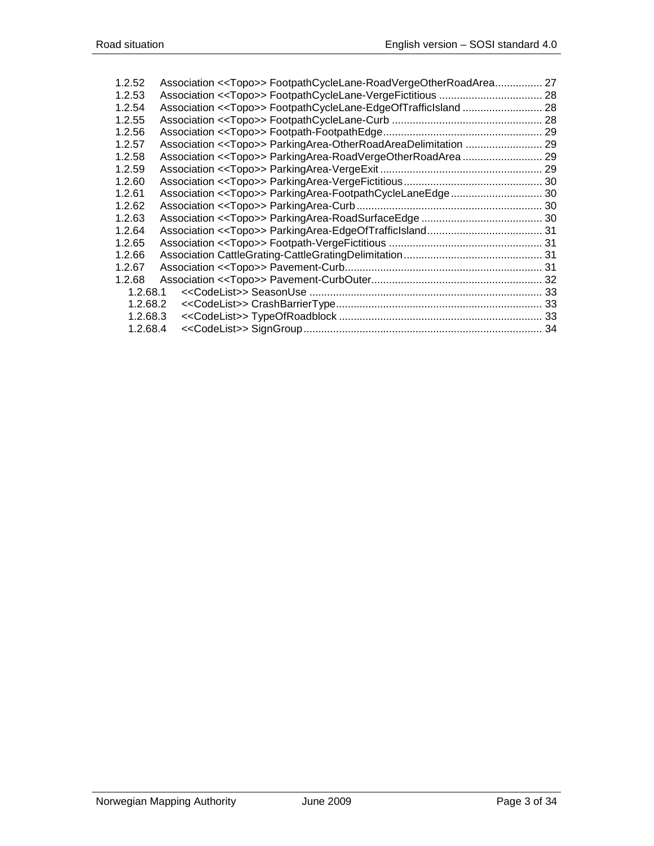| 1.2.52   | Association < <topo>&gt; FootpathCycleLane-RoadVergeOtherRoadArea</topo>  | 27 |
|----------|---------------------------------------------------------------------------|----|
| 1.2.53   |                                                                           |    |
| 1.2.54   |                                                                           |    |
| 1.2.55   |                                                                           | 28 |
| 1.2.56   |                                                                           |    |
| 1.2.57   | Association < <topo>&gt; ParkingArea-OtherRoadAreaDelimitation  29</topo> |    |
| 1.2.58   | Association < <topo>&gt; ParkingArea-RoadVergeOtherRoadArea 29</topo>     |    |
| 1.2.59   |                                                                           |    |
| 1.2.60   |                                                                           |    |
| 1.2.61   |                                                                           |    |
| 1.2.62   |                                                                           |    |
| 1.2.63   |                                                                           |    |
| 1.2.64   |                                                                           |    |
| 1.2.65   |                                                                           |    |
| 1.2.66   |                                                                           |    |
| 1.2.67   |                                                                           |    |
| 1.2.68   |                                                                           |    |
| 1.2.68.1 |                                                                           |    |
| 1.2.68.2 |                                                                           |    |
| 1.2.68.3 |                                                                           |    |
| 1.2.68.4 |                                                                           |    |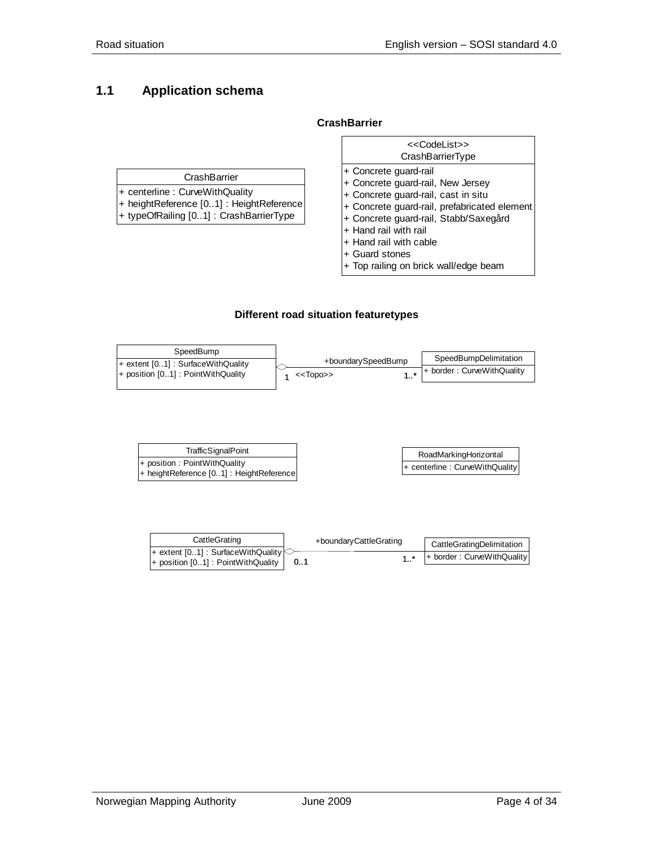# <span id="page-3-0"></span>**1.1 Application schema**

#### **CrashBarrier**

|                                                                                                                                        | < <codelist>&gt;<br/>CrashBarrierType</codelist>                                                                                                                                                                                                                |
|----------------------------------------------------------------------------------------------------------------------------------------|-----------------------------------------------------------------------------------------------------------------------------------------------------------------------------------------------------------------------------------------------------------------|
| CrashBarrier<br>+ centerline : CurveWithQuality<br>+ heightReference [01] : HeightReference<br>+ typeOfRailing [01] : CrashBarrierType | + Concrete quard-rail<br>+ Concrete guard-rail, New Jersey<br>+ Concrete guard-rail, cast in situ<br>+ Concrete guard-rail, prefabricated element<br>+ Concrete guard-rail, Stabb/Saxegård<br>+ Hand rail with rail<br>+ Hand rail with cable<br>+ Guard stones |

+ Top railing on brick wall/edge beam

#### **Different road situation featuretypes**

| +boundarySpeedBump | SpeedBumpDelimitation      |
|--------------------|----------------------------|
| $<<$ Topo $>>$     | + border: CurveWithQuality |
|                    |                            |

| TrafficSignalPoint                                                       | RoadMarkingHorizontal                |
|--------------------------------------------------------------------------|--------------------------------------|
| + position: PointWithQuality<br>+ heightReference [01] : HeightReference | $ +$ centerline : Curve With Quality |
|                                                                          |                                      |

| CattleGrating                                                                        |     | +boundaryCattleGrating | CattleGratingDelimitation               |
|--------------------------------------------------------------------------------------|-----|------------------------|-----------------------------------------|
| $+$ extent [01] : SurfaceWithQuality<br>$+$ position [01] : PointWithQuality $\vert$ | 0.1 |                        | $1.^*$ $ +$ border : Curve With Quality |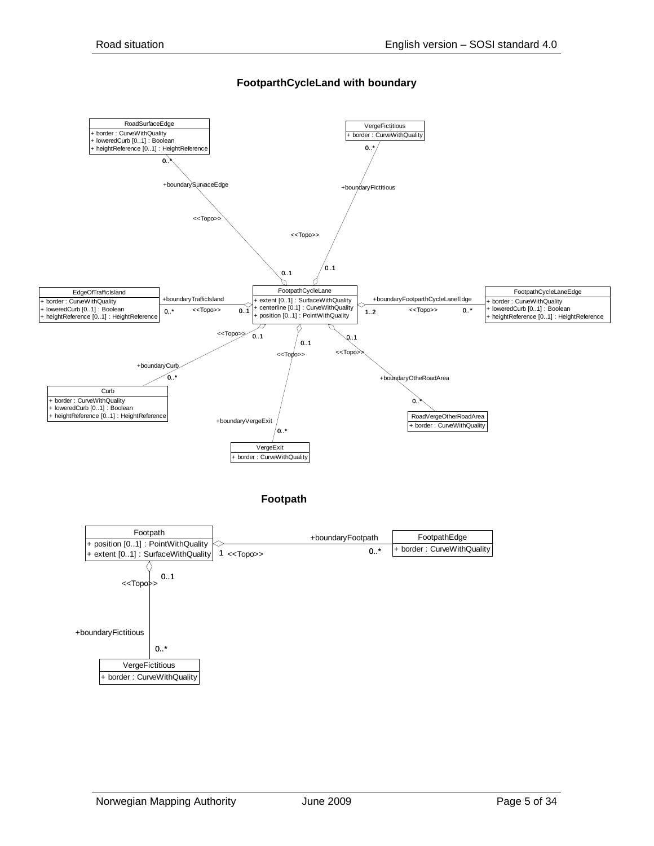

#### **FootparthCycleLand with boundary**

**Footpath**

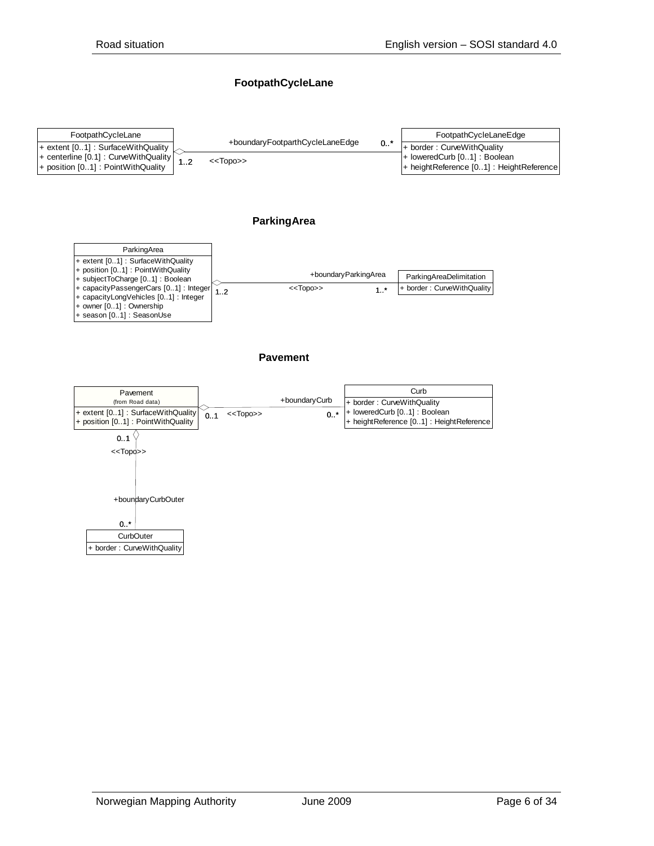#### **FootpathCycleLane**



#### **ParkingArea**



#### **Pavement**

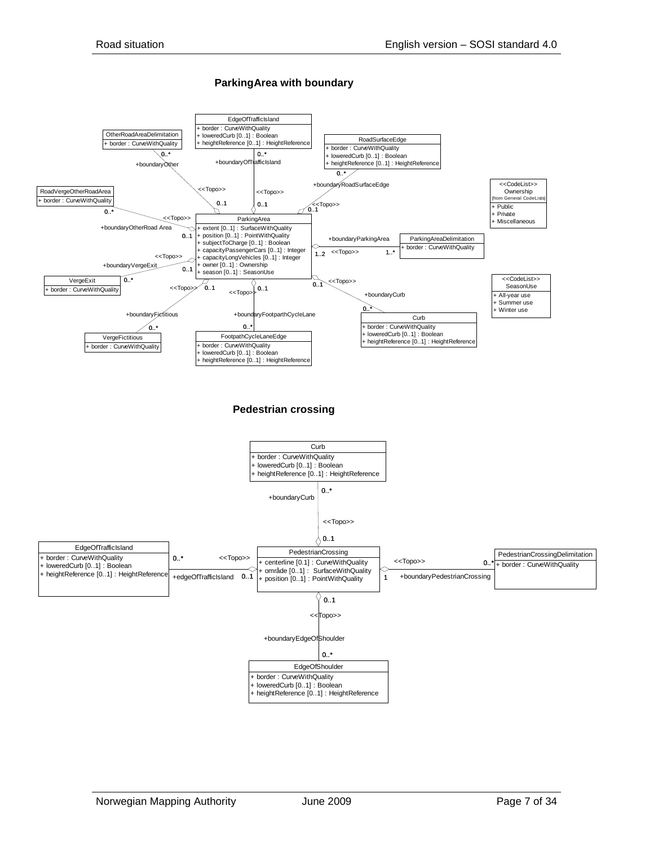#### **ParkingArea with boundary**

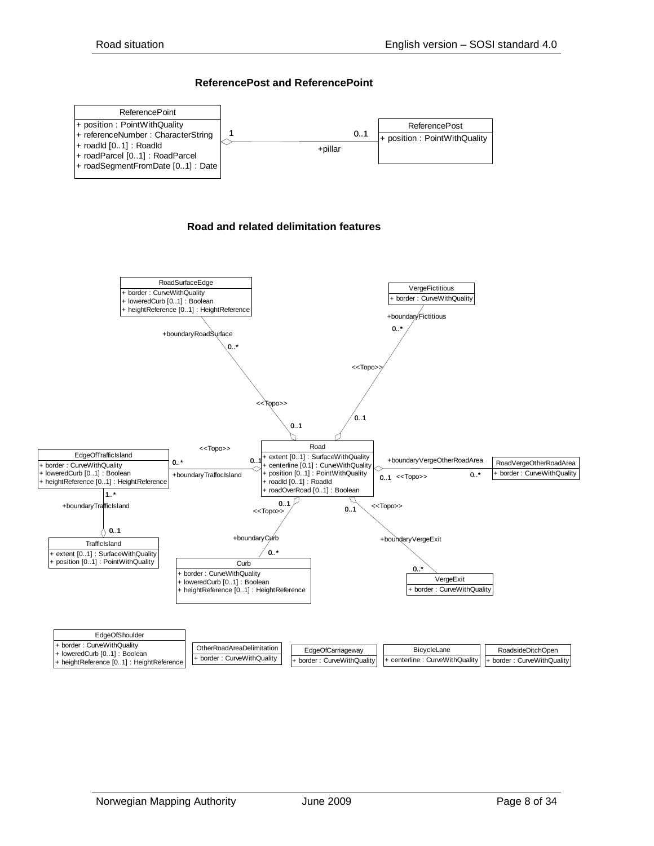#### **ReferencePost and ReferencePoint**



#### **Road and related delimitation features**

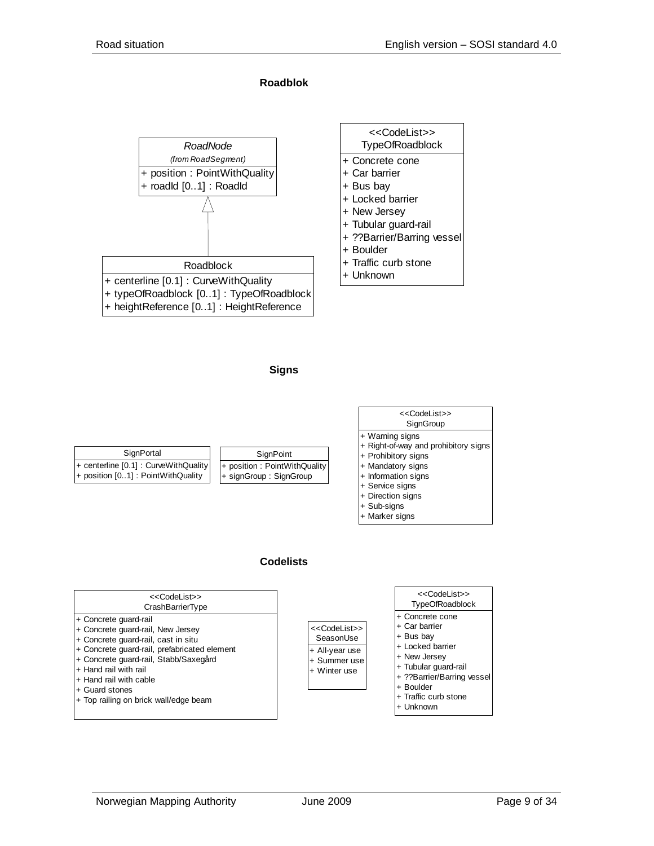**Roadblok**









#### **Codelists**

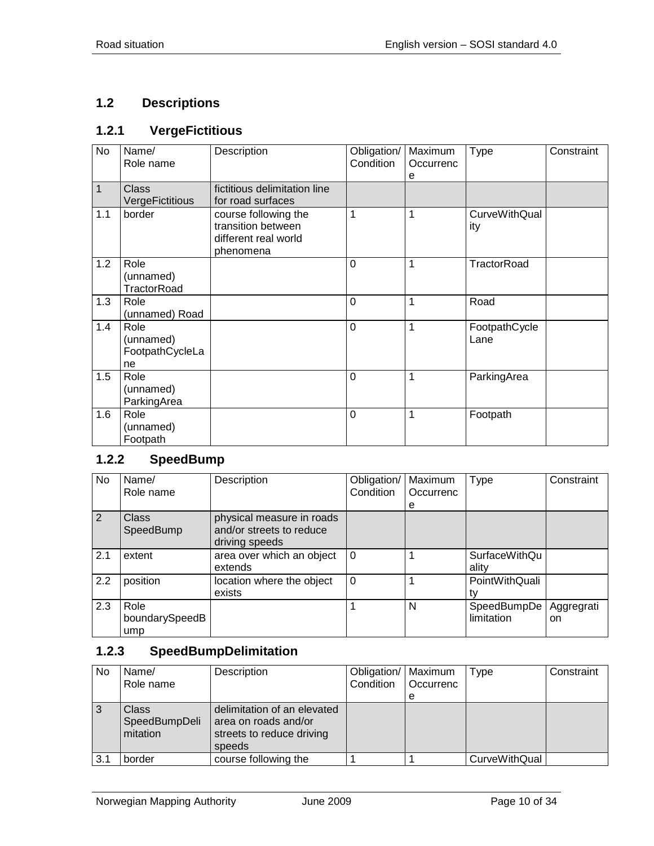# <span id="page-9-0"></span>**1.2 Descriptions**

# <span id="page-9-1"></span>**1.2.1 VergeFictitious**

| No  | Name/<br>Role name                         | Description                                                                     | Obligation/<br>Condition | Maximum<br>Occurrenc<br>е | <b>Type</b>                 | Constraint |
|-----|--------------------------------------------|---------------------------------------------------------------------------------|--------------------------|---------------------------|-----------------------------|------------|
| 1   | <b>Class</b><br>VergeFictitious            | fictitious delimitation line<br>for road surfaces                               |                          |                           |                             |            |
| 1.1 | border                                     | course following the<br>transition between<br>different real world<br>phenomena | 1                        | 1                         | <b>CurveWithQual</b><br>ity |            |
| 1.2 | Role<br>(unnamed)<br>TractorRoad           |                                                                                 | $\mathbf 0$              | 1                         | TractorRoad                 |            |
| 1.3 | Role<br>(unnamed) Road                     |                                                                                 | $\overline{0}$           | 1                         | Road                        |            |
| 1.4 | Role<br>(unnamed)<br>FootpathCycleLa<br>ne |                                                                                 | $\overline{0}$           | $\overline{1}$            | FootpathCycle<br>Lane       |            |
| 1.5 | Role<br>(unnamed)<br>ParkingArea           |                                                                                 | $\mathbf 0$              | 1                         | ParkingArea                 |            |
| 1.6 | Role<br>(unnamed)<br>Footpath              |                                                                                 | $\mathbf 0$              | 1                         | Footpath                    |            |

#### <span id="page-9-2"></span>**1.2.2 SpeedBump**

| No  | Name/<br>Role name            | Description                                                             | Obligation/<br>Condition | Maximum<br>Occurrenc | <b>Type</b>                   | Constraint                  |
|-----|-------------------------------|-------------------------------------------------------------------------|--------------------------|----------------------|-------------------------------|-----------------------------|
|     |                               |                                                                         |                          | е                    |                               |                             |
| 2   | <b>Class</b><br>SpeedBump     | physical measure in roads<br>and/or streets to reduce<br>driving speeds |                          |                      |                               |                             |
| 2.1 | extent                        | area over which an object<br>extends                                    | $\Omega$                 |                      | <b>SurfaceWithQu</b><br>ality |                             |
| 2.2 | position                      | location where the object<br>exists                                     | $\Omega$                 |                      | PointWithQuali<br>tv          |                             |
| 2.3 | Role<br>boundarySpeedB<br>ump |                                                                         |                          | N                    | SpeedBumpDe<br>limitation     | Aggregrati<br><sub>on</sub> |

# <span id="page-9-3"></span>**1.2.3 SpeedBumpDelimitation**

| No  | Name/<br>Role name                 | Description                                                                                | Obligation/   Maximum<br>Condition | <b>Occurrenc</b> | Type          | Constraint |
|-----|------------------------------------|--------------------------------------------------------------------------------------------|------------------------------------|------------------|---------------|------------|
|     |                                    |                                                                                            |                                    | е                |               |            |
| 3   | Class<br>SpeedBumpDeli<br>mitation | delimitation of an elevated<br>area on roads and/or<br>streets to reduce driving<br>speeds |                                    |                  |               |            |
| 3.1 | border                             | course following the                                                                       |                                    |                  | CurveWithQual |            |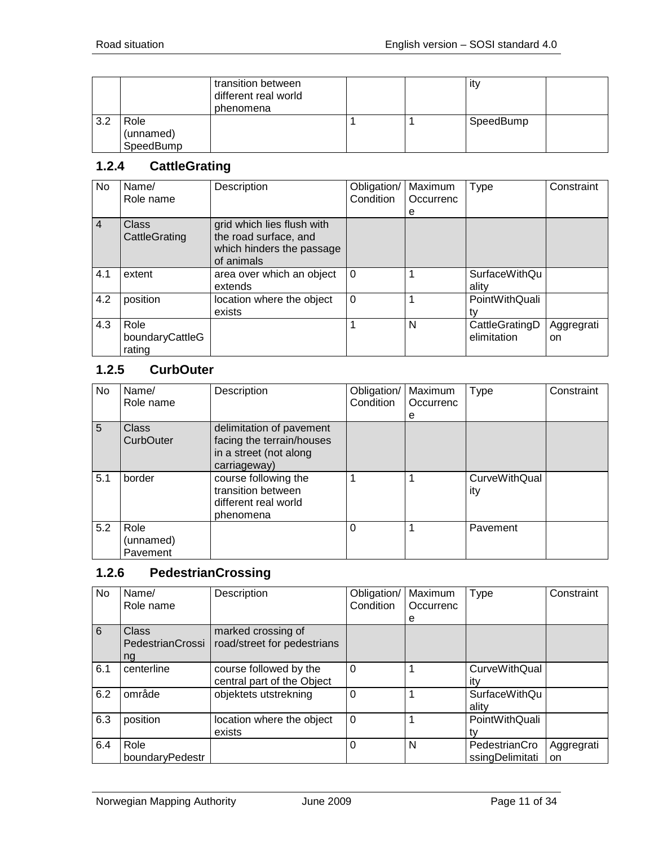|     |                                | transition between<br>different real world<br>phenomena |  | ity       |  |
|-----|--------------------------------|---------------------------------------------------------|--|-----------|--|
| 3.2 | Role<br>(unnamed)<br>SpeedBump |                                                         |  | SpeedBump |  |

#### <span id="page-10-0"></span>**1.2.4 CattleGrating**

| No             | Name/<br>Role name                | Description                                                                                    | Obligation/<br>Condition | Maximum<br>Occurrenc<br>е | Type                          | Constraint       |
|----------------|-----------------------------------|------------------------------------------------------------------------------------------------|--------------------------|---------------------------|-------------------------------|------------------|
| $\overline{4}$ | Class<br>CattleGrating            | grid which lies flush with<br>the road surface, and<br>which hinders the passage<br>of animals |                          |                           |                               |                  |
| 4.1            | extent                            | area over which an object<br>extends                                                           | $\Omega$                 |                           | <b>SurfaceWithQu</b><br>ality |                  |
| 4.2            | position                          | location where the object<br>exists                                                            | $\Omega$                 |                           | PointWithQuali<br>tv          |                  |
| 4.3            | Role<br>boundaryCattleG<br>rating |                                                                                                |                          | N                         | CattleGratingD<br>elimitation | Aggregrati<br>on |

# <span id="page-10-1"></span>**1.2.5 CurbOuter**

| No. | Name/<br>Role name            | Description                                                                                     | Obligation/<br>Condition | Maximum<br>Occurrenc<br>е | Type                 | Constraint |
|-----|-------------------------------|-------------------------------------------------------------------------------------------------|--------------------------|---------------------------|----------------------|------------|
| 5   | <b>Class</b><br>CurbOuter     | delimitation of pavement<br>facing the terrain/houses<br>in a street (not along<br>carriageway) |                          |                           |                      |            |
| 5.1 | border                        | course following the<br>transition between<br>different real world<br>phenomena                 |                          |                           | CurveWithQual<br>ity |            |
| 5.2 | Role<br>(unnamed)<br>Pavement |                                                                                                 | $\Omega$                 |                           | Pavement             |            |

# <span id="page-10-2"></span>**1.2.6 PedestrianCrossing**

| No  | Name/<br>Role name              | Description                                          | Obligation/<br>Condition | Maximum<br>Occurrenc | <b>Type</b>                      | Constraint       |
|-----|---------------------------------|------------------------------------------------------|--------------------------|----------------------|----------------------------------|------------------|
|     |                                 |                                                      |                          | е                    |                                  |                  |
| 6   | Class<br>PedestrianCrossi<br>ng | marked crossing of<br>road/street for pedestrians    |                          |                      |                                  |                  |
| 6.1 | centerline                      | course followed by the<br>central part of the Object | $\mathbf 0$              |                      | CurveWithQual<br>itv             |                  |
| 6.2 | område                          | objektets utstrekning                                | 0                        |                      | <b>SurfaceWithQu</b><br>ality    |                  |
| 6.3 | position                        | location where the object<br>exists                  | $\Omega$                 |                      | PointWithQuali                   |                  |
| 6.4 | Role<br>boundaryPedestr         |                                                      | 0                        | N                    | PedestrianCro<br>ssingDelimitati | Aggregrati<br>on |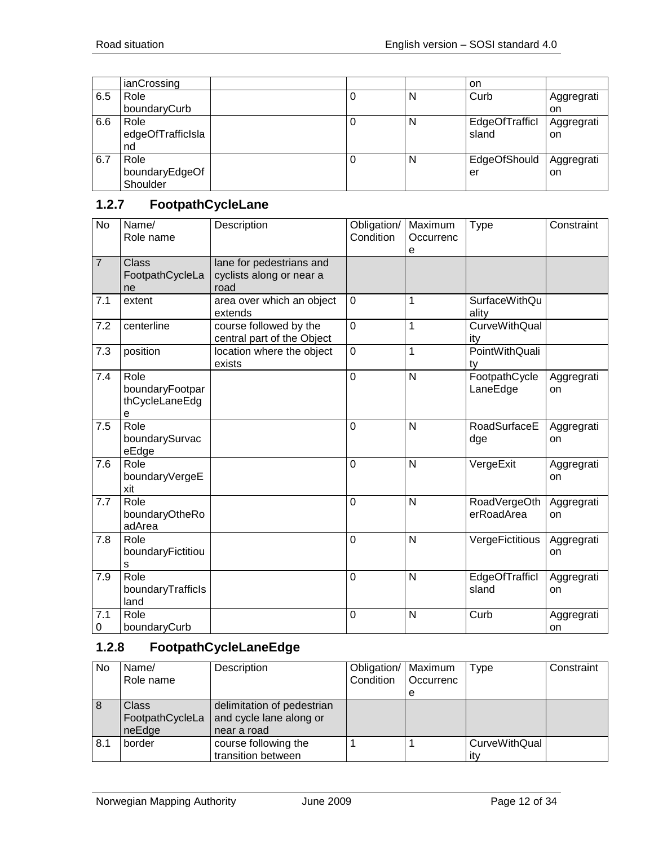|     | ianCrossing       |  |   | on             |            |
|-----|-------------------|--|---|----------------|------------|
| 6.5 | Role              |  | N | Curb           | Aggregrati |
|     | boundaryCurb      |  |   |                | on         |
| 6.6 | Role              |  | N | EdgeOfTrafficl | Aggregrati |
|     | edgeOfTrafficIsla |  |   | sland          | on         |
|     | nd                |  |   |                |            |
| 6.7 | Role              |  | N | EdgeOfShould   | Aggregrati |
|     | boundaryEdgeOf    |  |   | er             | on         |
|     | Shoulder          |  |   |                |            |

# <span id="page-11-0"></span>**1.2.7 FootpathCycleLane**

| <b>No</b>      | Name/<br>Role name                             | Description                                                  | Obligation/<br>Condition | Maximum<br>Occurrenc<br>е | Type                          | Constraint       |
|----------------|------------------------------------------------|--------------------------------------------------------------|--------------------------|---------------------------|-------------------------------|------------------|
| $\overline{7}$ | <b>Class</b><br>FootpathCycleLa<br>ne          | lane for pedestrians and<br>cyclists along or near a<br>road |                          |                           |                               |                  |
| 7.1            | extent                                         | area over which an object<br>extends                         | $\mathbf 0$              | 1                         | <b>SurfaceWithQu</b><br>ality |                  |
| 7.2            | centerline                                     | course followed by the<br>central part of the Object         | $\overline{0}$           | 1                         | <b>CurveWithQual</b><br>ity   |                  |
| 7.3            | position                                       | location where the object<br>exists                          | $\mathbf 0$              | 1                         | PointWithQuali<br>ty          |                  |
| 7.4            | Role<br>boundaryFootpar<br>thCycleLaneEdg<br>е |                                                              | $\mathbf 0$              | $\mathsf{N}$              | FootpathCycle<br>LaneEdge     | Aggregrati<br>on |
| 7.5            | Role<br>boundarySurvac<br>eEdge                |                                                              | $\mathbf 0$              | N                         | RoadSurfaceE<br>dge           | Aggregrati<br>on |
| 7.6            | Role<br>boundaryVergeE<br>xit                  |                                                              | $\mathbf 0$              | $\mathsf{N}$              | VergeExit                     | Aggregrati<br>on |
| 7.7            | Role<br>boundaryOtheRo<br>adArea               |                                                              | $\mathbf 0$              | N                         | RoadVergeOth<br>erRoadArea    | Aggregrati<br>on |
| 7.8            | Role<br>boundaryFictitiou<br>s                 |                                                              | $\mathbf 0$              | $\mathsf{N}$              | VergeFictitious               | Aggregrati<br>on |
| 7.9            | Role<br>boundaryTrafficls<br>land              |                                                              | $\Omega$                 | N                         | EdgeOfTrafficl<br>sland       | Aggregrati<br>on |
| 7.1<br>0       | Role<br>boundaryCurb                           |                                                              | $\mathbf 0$              | $\overline{N}$            | Curb                          | Aggregrati<br>on |

## <span id="page-11-1"></span>**1.2.8 FootpathCycleLaneEdge**

| No  | Name/                                     | Description                                                          | Obligation/   Maximum |           | Type                        | Constraint |
|-----|-------------------------------------------|----------------------------------------------------------------------|-----------------------|-----------|-----------------------------|------------|
|     | Role name                                 |                                                                      | Condition             | Occurrenc |                             |            |
|     |                                           |                                                                      |                       | e         |                             |            |
| 8   | <b>Class</b><br>FootpathCycleLa<br>neEdge | delimitation of pedestrian<br>and cycle lane along or<br>near a road |                       |           |                             |            |
| 8.1 | border                                    | course following the<br>transition between                           |                       |           | <b>CurveWithQual</b><br>itv |            |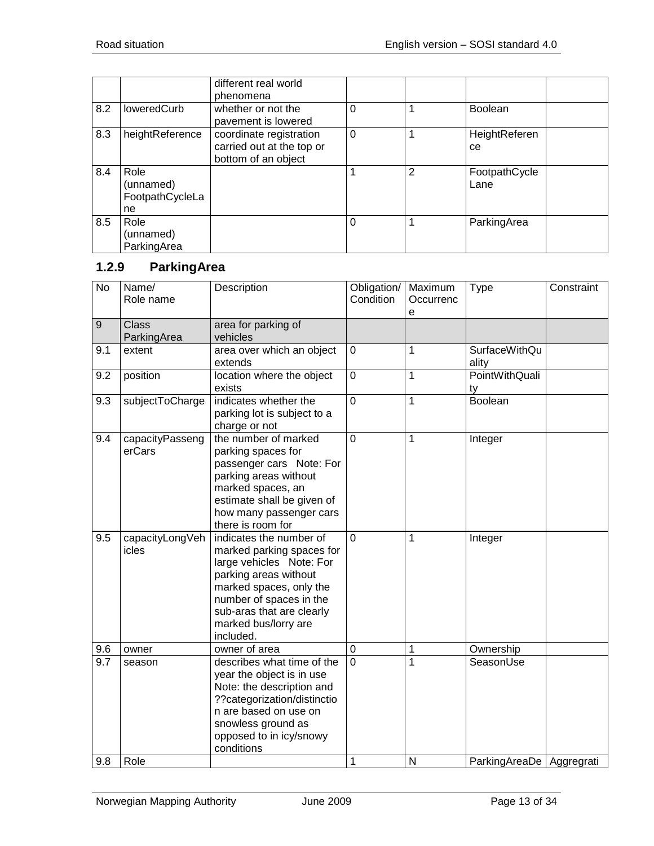|     |                                            | different real world<br>phenomena                                           |              |                |                       |
|-----|--------------------------------------------|-----------------------------------------------------------------------------|--------------|----------------|-----------------------|
| 8.2 | loweredCurb                                | whether or not the<br>pavement is lowered                                   | 0            |                | <b>Boolean</b>        |
| 8.3 | heightReference                            | coordinate registration<br>carried out at the top or<br>bottom of an object | $\mathbf{0}$ |                | HeightReferen<br>ce   |
| 8.4 | Role<br>(unnamed)<br>FootpathCycleLa<br>ne |                                                                             |              | $\overline{2}$ | FootpathCycle<br>Lane |
| 8.5 | Role<br>(unnamed)<br>ParkingArea           |                                                                             | 0            |                | ParkingArea           |

# <span id="page-12-0"></span>**1.2.9 ParkingArea**

| <b>No</b> | Name/<br>Role name          | Description                                                                                                                                                                                                                       | Obligation/<br>Condition | Maximum<br>Occurrenc<br>e | <b>Type</b>                | Constraint |
|-----------|-----------------------------|-----------------------------------------------------------------------------------------------------------------------------------------------------------------------------------------------------------------------------------|--------------------------|---------------------------|----------------------------|------------|
| 9         | <b>Class</b><br>ParkingArea | area for parking of<br>vehicles                                                                                                                                                                                                   |                          |                           |                            |            |
| 9.1       | extent                      | area over which an object<br>extends                                                                                                                                                                                              | $\mathbf 0$              | 1                         | SurfaceWithQu<br>ality     |            |
| 9.2       | position                    | location where the object<br>exists                                                                                                                                                                                               | $\mathbf 0$              | $\mathbf{1}$              | PointWithQuali<br>ty       |            |
| 9.3       | subjectToCharge             | indicates whether the<br>parking lot is subject to a<br>charge or not                                                                                                                                                             | $\overline{0}$           | $\mathbf{1}$              | Boolean                    |            |
| 9.4       | capacityPasseng<br>erCars   | the number of marked<br>parking spaces for<br>passenger cars Note: For<br>parking areas without<br>marked spaces, an<br>estimate shall be given of<br>how many passenger cars<br>there is room for                                | $\overline{0}$           | $\overline{1}$            | Integer                    |            |
| 9.5       | capacityLongVeh<br>icles    | indicates the number of<br>marked parking spaces for<br>large vehicles Note: For<br>parking areas without<br>marked spaces, only the<br>number of spaces in the<br>sub-aras that are clearly<br>marked bus/lorry are<br>included. | $\overline{0}$           | 1                         | Integer                    |            |
| 9.6       | owner                       | owner of area                                                                                                                                                                                                                     | $\mathbf 0$              | $\mathbf{1}$              | Ownership                  |            |
| 9.7       | season                      | describes what time of the<br>year the object is in use<br>Note: the description and<br>??categorization/distinctio<br>n are based on use on<br>snowless ground as<br>opposed to in icy/snowy<br>conditions                       | $\overline{0}$           | 1                         | SeasonUse                  |            |
| 9.8       | Role                        |                                                                                                                                                                                                                                   | 1                        | N                         | ParkingAreaDe   Aggregrati |            |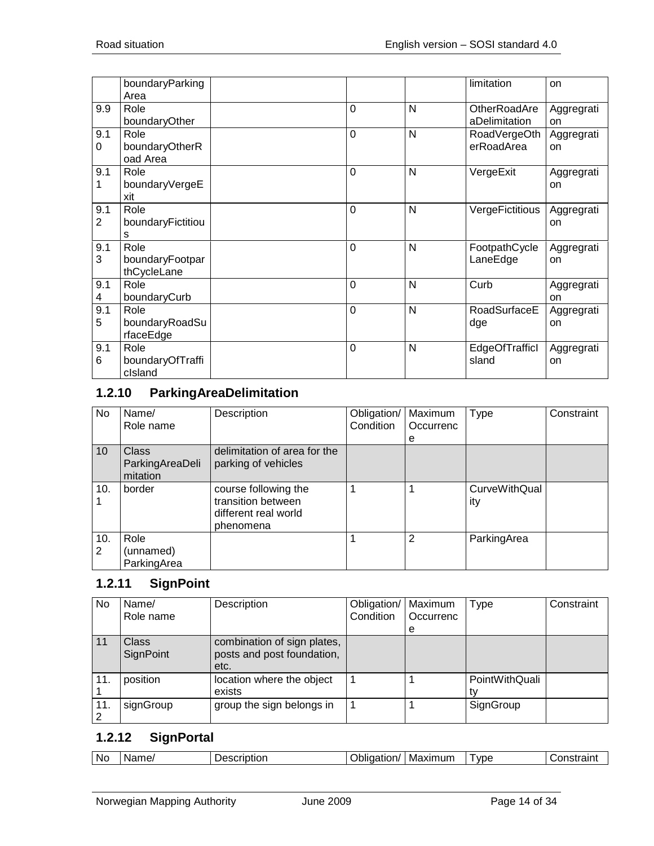|                       | boundaryParking<br>Area                |                |   | limitation                    | on               |
|-----------------------|----------------------------------------|----------------|---|-------------------------------|------------------|
| 9.9                   | Role<br>boundaryOther                  | $\overline{0}$ | N | OtherRoadAre<br>aDelimitation | Aggregrati<br>on |
| 9.1<br>0              | Role<br>boundaryOtherR<br>oad Area     | $\mathbf 0$    | N | RoadVergeOth<br>erRoadArea    | Aggregrati<br>on |
| 9.1                   | Role<br>boundaryVergeE<br>xit          | $\overline{0}$ | N | VergeExit                     | Aggregrati<br>on |
| 9.1<br>$\overline{2}$ | Role<br>boundaryFictitiou<br>s         | $\overline{0}$ | N | VergeFictitious               | Aggregrati<br>on |
| 9.1<br>3              | Role<br>boundaryFootpar<br>thCycleLane | $\overline{0}$ | N | FootpathCycle<br>LaneEdge     | Aggregrati<br>on |
| 9.1<br>4              | Role<br>boundaryCurb                   | $\overline{0}$ | N | Curb                          | Aggregrati<br>on |
| 9.1<br>5              | Role<br>boundaryRoadSu<br>rfaceEdge    | $\mathbf 0$    | N | RoadSurfaceE<br>dge           | Aggregrati<br>on |
| 9.1<br>6              | Role<br>boundaryOfTraffi<br>clsland    | $\mathbf 0$    | N | EdgeOfTrafficl<br>sland       | Aggregrati<br>on |

# <span id="page-13-0"></span>**1.2.10 ParkingAreaDelimitation**

| No       | Name/<br>Role name                          | Description                                                                     | Obligation/<br>Condition | Maximum<br>Occurrenc | Type                 | Constraint |
|----------|---------------------------------------------|---------------------------------------------------------------------------------|--------------------------|----------------------|----------------------|------------|
|          |                                             |                                                                                 |                          | е                    |                      |            |
| 10       | <b>Class</b><br>ParkingAreaDeli<br>mitation | delimitation of area for the<br>parking of vehicles                             |                          |                      |                      |            |
| 10.      | border                                      | course following the<br>transition between<br>different real world<br>phenomena |                          |                      | CurveWithQual<br>ity |            |
| 10.<br>2 | Role<br>(unnamed)<br>ParkingArea            |                                                                                 |                          | 2                    | ParkingArea          |            |

# <span id="page-13-1"></span>**1.2.11 SignPoint**

| No  | Name/<br>Role name        | Description                                                       | Obligation/<br>Condition | Maximum<br>Occurrenc<br>е | Type           | Constraint |
|-----|---------------------------|-------------------------------------------------------------------|--------------------------|---------------------------|----------------|------------|
| 11  | <b>Class</b><br>SignPoint | combination of sign plates,<br>posts and post foundation,<br>etc. |                          |                           |                |            |
| 11. | position                  | location where the object<br>exists                               |                          |                           | PointWithQuali |            |
| 11. | signGroup                 | group the sign belongs in                                         |                          |                           | SignGroup      |            |

# <span id="page-13-2"></span>**1.2.12 SignPortal**

| .No | Name. | --------<br>ء ص<br>rını<br>TOL | .<br>I 1/ | axımıım<br>IVI2<br>1XII | vpe | . |
|-----|-------|--------------------------------|-----------|-------------------------|-----|---|
|-----|-------|--------------------------------|-----------|-------------------------|-----|---|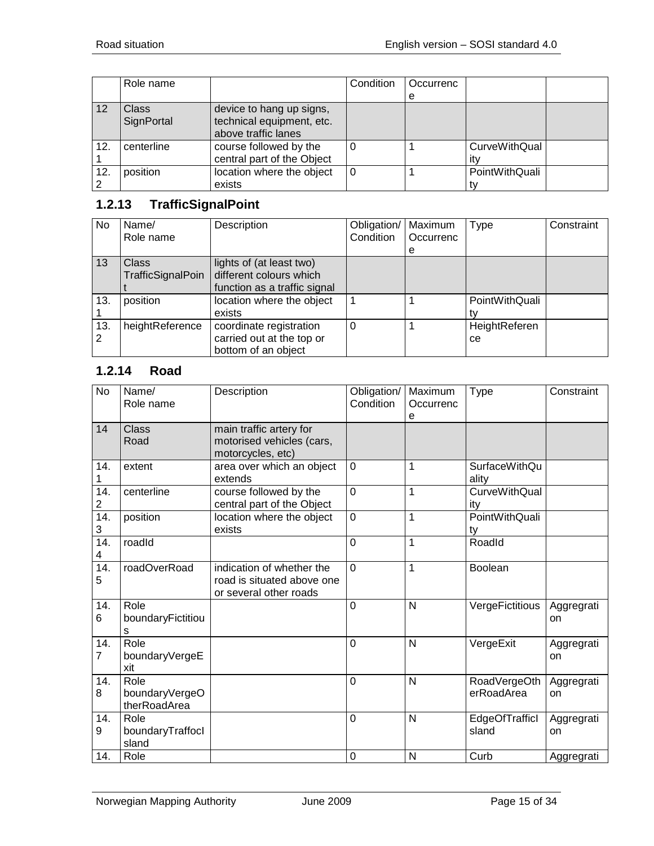|     | Role name                  |                                                                              | Condition | Occurrenc |                |  |
|-----|----------------------------|------------------------------------------------------------------------------|-----------|-----------|----------------|--|
|     |                            |                                                                              |           | e         |                |  |
| 12  | <b>Class</b><br>SignPortal | device to hang up signs,<br>technical equipment, etc.<br>above traffic lanes |           |           |                |  |
| 12. | centerline                 | course followed by the<br>central part of the Object                         |           |           | CurveWithQual  |  |
| 12. | position                   | location where the object<br>exists                                          | 0         |           | PointWithQuali |  |

# <span id="page-14-0"></span>**1.2.13 TrafficSignalPoint**

| <b>No</b> | Name/<br>Role name | Description                  | Obligation/<br>Condition | Maximum<br>Occurrenc | Type           | Constraint |
|-----------|--------------------|------------------------------|--------------------------|----------------------|----------------|------------|
|           |                    |                              |                          | e                    |                |            |
| 13        | Class              | lights of (at least two)     |                          |                      |                |            |
|           | TrafficSignalPoin  | different colours which      |                          |                      |                |            |
|           |                    | function as a traffic signal |                          |                      |                |            |
| 13.       | position           | location where the object    |                          |                      | PointWithQuali |            |
|           |                    | exists                       |                          |                      |                |            |
| 13.       | heightReference    | coordinate registration      | 0                        |                      | HeightReferen  |            |
|           |                    | carried out at the top or    |                          |                      | cе             |            |
|           |                    | bottom of an object          |                          |                      |                |            |

# <span id="page-14-1"></span>**1.2.14 Road**

| <b>No</b>              | Name/<br>Role name                     | Description                                                                       | Obligation/<br>Condition | Maximum<br>Occurrenc<br>e | Type                        | Constraint       |
|------------------------|----------------------------------------|-----------------------------------------------------------------------------------|--------------------------|---------------------------|-----------------------------|------------------|
| 14                     | <b>Class</b><br>Road                   | main traffic artery for<br>motorised vehicles (cars,<br>motorcycles, etc)         |                          |                           |                             |                  |
| 14.                    | extent                                 | area over which an object<br>extends                                              | $\mathbf 0$              | 1                         | SurfaceWithQu<br>ality      |                  |
| 14.<br>2               | centerline                             | course followed by the<br>central part of the Object                              | $\overline{0}$           | $\mathbf 1$               | <b>CurveWithQual</b><br>ity |                  |
| 14.<br>3               | position                               | location where the object<br>exists                                               | $\mathbf 0$              | 1                         | PointWithQuali<br>ty        |                  |
| $\overline{14}$ .<br>4 | roadId                                 |                                                                                   | $\mathbf 0$              | $\mathbf 1$               | Roadld                      |                  |
| 14.<br>5               | roadOverRoad                           | indication of whether the<br>road is situated above one<br>or several other roads | $\overline{0}$           | 1                         | <b>Boolean</b>              |                  |
| 14.<br>6               | Role<br>boundaryFictitiou<br>s         |                                                                                   | $\overline{0}$           | N                         | VergeFictitious             | Aggregrati<br>on |
| 14.<br>$\overline{7}$  | Role<br>boundaryVergeE<br>xit          |                                                                                   | $\overline{0}$           | N                         | VergeExit                   | Aggregrati<br>on |
| 14.<br>8               | Role<br>boundaryVergeO<br>therRoadArea |                                                                                   | $\overline{0}$           | N                         | RoadVergeOth<br>erRoadArea  | Aggregrati<br>on |
| 14.<br>9               | Role<br>boundaryTraffocl<br>sland      |                                                                                   | $\overline{0}$           | N                         | EdgeOfTrafficl<br>sland     | Aggregrati<br>on |
| 14.                    | Role                                   |                                                                                   | 0                        | N                         | Curb                        | Aggregrati       |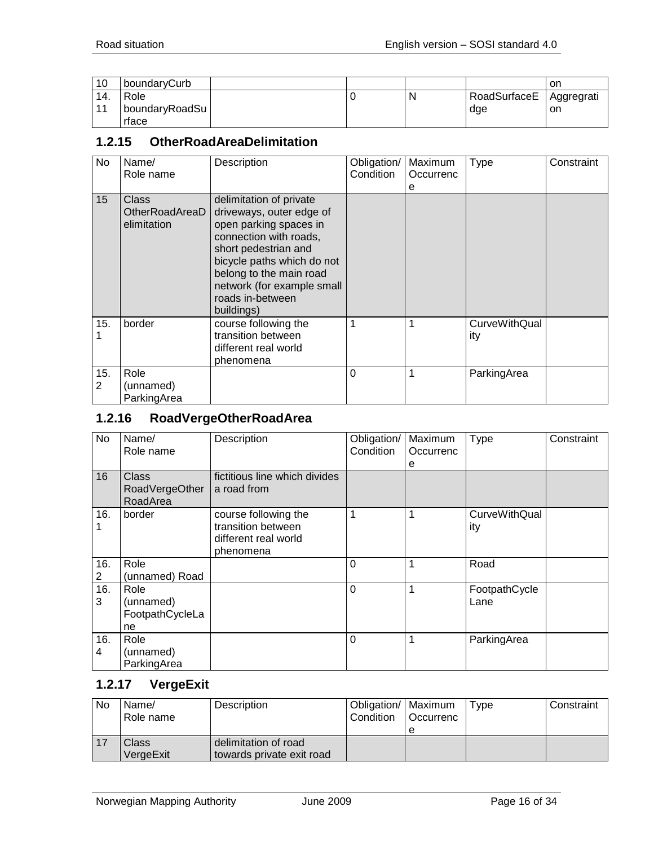| 10           | boundaryCurb                        |  |   |                     | on               |
|--------------|-------------------------------------|--|---|---------------------|------------------|
| 14.<br>$-11$ | Role<br>  boundaryRoadSu  <br>rface |  | N | RoadSurfaceE<br>dge | Aggregrati<br>on |

#### <span id="page-15-0"></span>**1.2.15 OtherRoadAreaDelimitation**

| No.      | Name/<br>Role name                     | Description                                                                                                                                                                                                                                              | Obligation/<br>Condition | Maximum<br>Occurrenc<br>е | <b>Type</b>                 | Constraint |
|----------|----------------------------------------|----------------------------------------------------------------------------------------------------------------------------------------------------------------------------------------------------------------------------------------------------------|--------------------------|---------------------------|-----------------------------|------------|
| 15       | Class<br>OtherRoadAreaD<br>elimitation | delimitation of private<br>driveways, outer edge of<br>open parking spaces in<br>connection with roads,<br>short pedestrian and<br>bicycle paths which do not<br>belong to the main road<br>network (for example small<br>roads in-between<br>buildings) |                          |                           |                             |            |
| 15.      | border                                 | course following the<br>transition between<br>different real world<br>phenomena                                                                                                                                                                          |                          |                           | <b>CurveWithQual</b><br>ity |            |
| 15.<br>2 | Role<br>(unnamed)<br>ParkingArea       |                                                                                                                                                                                                                                                          | 0                        |                           | ParkingArea                 |            |

#### <span id="page-15-1"></span>**1.2.16 RoadVergeOtherRoadArea**

| No       | Name/<br>Role name                         | Description                                                                     | Obligation/<br>Condition | Maximum<br>Occurrenc<br>е | <b>Type</b>           | Constraint |
|----------|--------------------------------------------|---------------------------------------------------------------------------------|--------------------------|---------------------------|-----------------------|------------|
| 16       | <b>Class</b><br>RoadVergeOther<br>RoadArea | fictitious line which divides<br>a road from                                    |                          |                           |                       |            |
| 16.      | border                                     | course following the<br>transition between<br>different real world<br>phenomena |                          |                           | CurveWithQual<br>ity  |            |
| 16.<br>2 | Role<br>(unnamed) Road                     |                                                                                 | 0                        | 1                         | Road                  |            |
| 16.<br>3 | Role<br>(unnamed)<br>FootpathCycleLa<br>ne |                                                                                 | $\Omega$                 |                           | FootpathCycle<br>Lane |            |
| 16.<br>4 | Role<br>(unnamed)<br>ParkingArea           |                                                                                 | 0                        |                           | ParkingArea           |            |

# <span id="page-15-2"></span>**1.2.17 VergeExit**

| No | Name/<br>Role name        | Description                                       | Obligation/   Maximum<br><b>Condition</b> | <b>Occurrenc</b> | Type | Constraint |
|----|---------------------------|---------------------------------------------------|-------------------------------------------|------------------|------|------------|
|    | <b>Class</b><br>VergeExit | delimitation of road<br>towards private exit road |                                           |                  |      |            |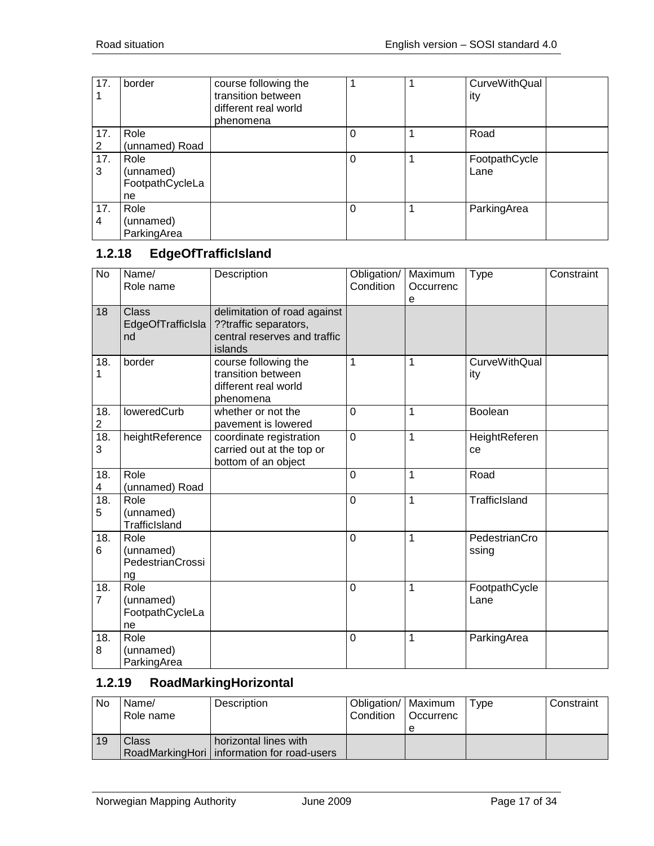| 17.      | border                                     | course following the<br>transition between<br>different real world<br>phenomena | 1        | <b>CurveWithQual</b><br>ity |
|----------|--------------------------------------------|---------------------------------------------------------------------------------|----------|-----------------------------|
| 17.<br>2 | Role<br>(unnamed) Road                     |                                                                                 | 0        | Road                        |
| 17.<br>3 | Role<br>(unnamed)<br>FootpathCycleLa<br>ne |                                                                                 | $\Omega$ | FootpathCycle<br>Lane       |
| 17.<br>4 | Role<br>(unnamed)<br>ParkingArea           |                                                                                 | $\Omega$ | ParkingArea                 |

# <span id="page-16-0"></span>**1.2.18 EdgeOfTrafficIsland**

| $\overline{N}$        | Name/<br>Role name                          | Description                                                                                      | Obligation/<br>Condition | Maximum<br>Occurrenc<br>е | <b>Type</b>                 | Constraint |
|-----------------------|---------------------------------------------|--------------------------------------------------------------------------------------------------|--------------------------|---------------------------|-----------------------------|------------|
| 18                    | <b>Class</b><br>EdgeOfTrafficIsla<br>nd     | delimitation of road against<br>??traffic separators,<br>central reserves and traffic<br>islands |                          |                           |                             |            |
| 18.<br>1              | border                                      | course following the<br>transition between<br>different real world<br>phenomena                  | 1                        | 1                         | <b>CurveWithQual</b><br>ity |            |
| 18.<br>$\overline{c}$ | loweredCurb                                 | whether or not the<br>pavement is lowered                                                        | 0                        | 1                         | <b>Boolean</b>              |            |
| 18.<br>3              | heightReference                             | coordinate registration<br>carried out at the top or<br>bottom of an object                      | $\overline{0}$           | 1                         | HeightReferen<br>ce         |            |
| 18.<br>4              | Role<br>(unnamed) Road                      |                                                                                                  | 0                        | 1                         | Road                        |            |
| 18.<br>5              | Role<br>(unnamed)<br><b>TrafficIsland</b>   |                                                                                                  | 0                        | 1                         | TrafficIsland               |            |
| 18.<br>6              | Role<br>(unnamed)<br>PedestrianCrossi<br>ng |                                                                                                  | 0                        | 1                         | PedestrianCro<br>ssing      |            |
| 18.<br>7              | Role<br>(unnamed)<br>FootpathCycleLa<br>ne  |                                                                                                  | 0                        | 1                         | FootpathCycle<br>Lane       |            |
| 18.<br>8              | Role<br>(unnamed)<br>ParkingArea            |                                                                                                  | 0                        | 1                         | ParkingArea                 |            |

#### <span id="page-16-1"></span>**1.2.19 RoadMarkingHorizontal**

| <b>No</b> | Name/     | Description                                  | Obligation/   Maximum |                  | Type | Constraint |
|-----------|-----------|----------------------------------------------|-----------------------|------------------|------|------------|
|           | Role name |                                              | Condition             | <b>Occurrenc</b> |      |            |
|           |           |                                              |                       | е                |      |            |
| 19        | Class     | horizontal lines with                        |                       |                  |      |            |
|           |           | RoadMarkingHori   information for road-users |                       |                  |      |            |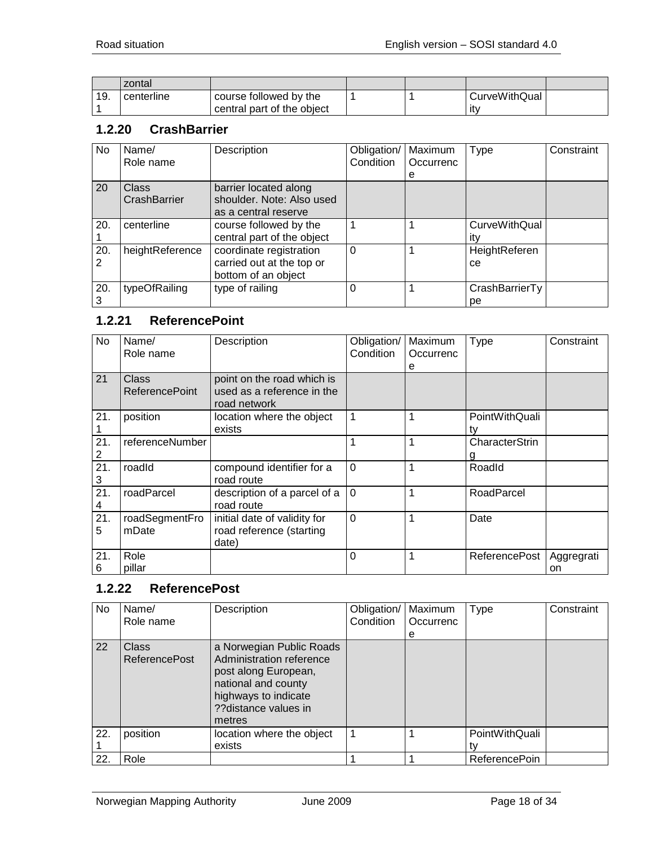|     | zontal     |                            |  |               |  |
|-----|------------|----------------------------|--|---------------|--|
| 19. | centerline | course followed by the     |  | CurveWithQual |  |
|     |            | central part of the object |  | ۱t∨           |  |

#### <span id="page-17-0"></span>**1.2.20 CrashBarrier**

| No       | Name/                        | Description                                                                 | Obligation/ | Maximum   | <b>Type</b>                 | Constraint |
|----------|------------------------------|-----------------------------------------------------------------------------|-------------|-----------|-----------------------------|------------|
|          | Role name                    |                                                                             | Condition   | Occurrenc |                             |            |
|          |                              |                                                                             |             | е         |                             |            |
| 20       | <b>Class</b><br>CrashBarrier | barrier located along<br>shoulder. Note: Also used<br>as a central reserve  |             |           |                             |            |
| 20.      | centerline                   | course followed by the<br>central part of the object                        |             |           | <b>CurveWithQual</b><br>itv |            |
| 20.<br>2 | heightReference              | coordinate registration<br>carried out at the top or<br>bottom of an object | 0           |           | HeightReferen<br>ce         |            |
| 20.      | typeOfRailing                | type of railing                                                             | 0           |           | CrashBarrierTy<br>рe        |            |

# <span id="page-17-1"></span>**1.2.21 ReferencePoint**

| No       | Name/<br>Role name             | Description                                                              | Obligation/<br>Condition | Maximum<br>Occurrenc<br>е | <b>Type</b>          | Constraint       |
|----------|--------------------------------|--------------------------------------------------------------------------|--------------------------|---------------------------|----------------------|------------------|
| 21       | Class<br><b>ReferencePoint</b> | point on the road which is<br>used as a reference in the<br>road network |                          |                           |                      |                  |
| 21.      | position                       | location where the object<br>exists                                      | $\mathbf{1}$             | 1                         | PointWithQuali<br>tv |                  |
| 21.<br>2 | referenceNumber                |                                                                          | 1                        | 1                         | CharacterStrin       |                  |
| 21.<br>3 | roadId                         | compound identifier for a<br>road route                                  | $\overline{0}$           | 1                         | Roadld               |                  |
| 21.<br>4 | roadParcel                     | description of a parcel of a<br>road route                               | $\overline{0}$           | 1                         | RoadParcel           |                  |
| 21.<br>5 | roadSegmentFro<br>mDate        | initial date of validity for<br>road reference (starting<br>date)        | $\mathbf 0$              | $\mathbf 1$               | Date                 |                  |
| 21.<br>6 | Role<br>pillar                 |                                                                          | $\Omega$                 | 1                         | <b>ReferencePost</b> | Aggregrati<br>on |

#### <span id="page-17-2"></span>**1.2.22 ReferencePost**

| No  | Name/<br>Role name                   | Description                                                                                                                                                   | Obligation/<br>Condition | Maximum<br>Occurrenc | <b>Type</b>          | Constraint |
|-----|--------------------------------------|---------------------------------------------------------------------------------------------------------------------------------------------------------------|--------------------------|----------------------|----------------------|------------|
|     |                                      |                                                                                                                                                               |                          | е                    |                      |            |
| 22  | <b>Class</b><br><b>ReferencePost</b> | a Norwegian Public Roads<br>Administration reference<br>post along European,<br>national and county<br>highways to indicate<br>??distance values in<br>metres |                          |                      |                      |            |
| 22. | position                             | location where the object                                                                                                                                     |                          |                      | PointWithQuali       |            |
|     |                                      | exists                                                                                                                                                        |                          |                      |                      |            |
| 22. | Role                                 |                                                                                                                                                               |                          |                      | <b>ReferencePoin</b> |            |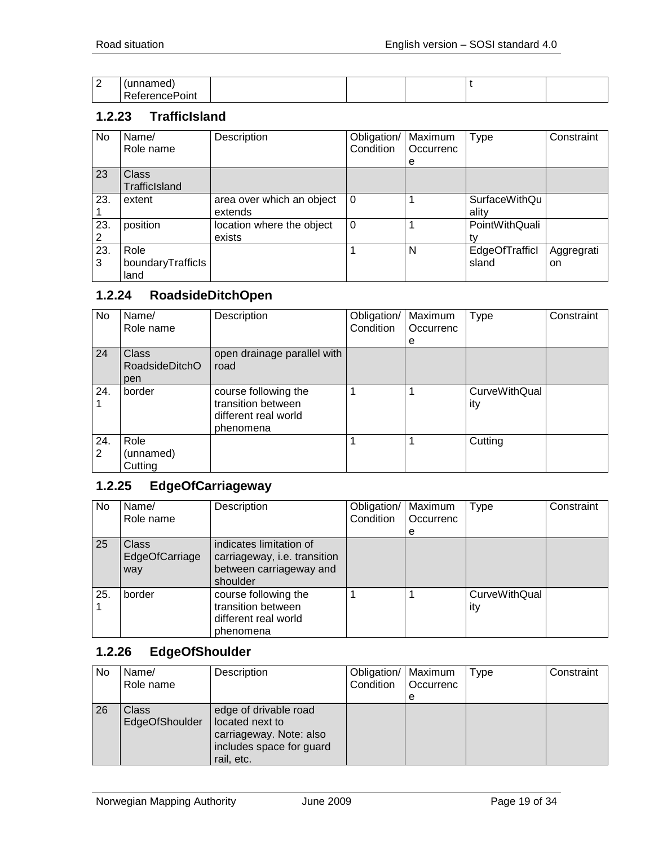| $\sim$<br>∠ | .             |  |  |  |
|-------------|---------------|--|--|--|
|             | -<br>วเทเ<br> |  |  |  |

#### <span id="page-18-0"></span>**1.2.23 TrafficIsland**

| No       | Name/<br>Role name                | Description                          | Obligation/<br>Condition | Maximum<br>Occurrenc<br>e | Type                    | Constraint       |
|----------|-----------------------------------|--------------------------------------|--------------------------|---------------------------|-------------------------|------------------|
| 23       | <b>Class</b><br>TrafficIsland     |                                      |                          |                           |                         |                  |
| 23.      | extent                            | area over which an object<br>extends | 0                        |                           | SurfaceWithQu<br>ality  |                  |
| 23.<br>2 | position                          | location where the object<br>exists  | $\Omega$                 |                           | PointWithQuali          |                  |
| 23.<br>3 | Role<br>boundaryTrafficls<br>land |                                      |                          | N                         | EdgeOfTrafficl<br>sland | Aggregrati<br>on |

#### <span id="page-18-1"></span>**1.2.24 RoadsideDitchOpen**

| No       | Name/<br>Role name                           | Description                                                                     | Obligation/<br>Condition | Maximum<br>Occurrenc | Type                        | Constraint |
|----------|----------------------------------------------|---------------------------------------------------------------------------------|--------------------------|----------------------|-----------------------------|------------|
|          |                                              |                                                                                 |                          | е                    |                             |            |
| 24       | <b>Class</b><br><b>RoadsideDitchO</b><br>pen | open drainage parallel with<br>road                                             |                          |                      |                             |            |
| 24.      | border                                       | course following the<br>transition between<br>different real world<br>phenomena |                          |                      | <b>CurveWithQual</b><br>ity |            |
| 24.<br>2 | Role<br>(unnamed)<br>Cutting                 |                                                                                 |                          |                      | Cutting                     |            |

# <span id="page-18-2"></span>**1.2.25 EdgeOfCarriageway**

| No  | Name/<br>Role name                    | Description                                                                                    | Obligation/<br>Condition | Maximum<br>Occurrenc | Type                        | Constraint |
|-----|---------------------------------------|------------------------------------------------------------------------------------------------|--------------------------|----------------------|-----------------------------|------------|
|     |                                       |                                                                                                |                          | е                    |                             |            |
| 25  | <b>Class</b><br>EdgeOfCarriage<br>way | indicates limitation of<br>carriageway, i.e. transition<br>between carriageway and<br>shoulder |                          |                      |                             |            |
| 25. | border                                | course following the<br>transition between<br>different real world<br>phenomena                |                          |                      | <b>CurveWithQual</b><br>ity |            |

#### <span id="page-18-3"></span>**1.2.26 EdgeOfShoulder**

| <b>No</b> | Name/<br>Role name             | Description                                                                                                   | Obligation/   Maximum<br>Condition | Occurrenc | Type | Constraint |
|-----------|--------------------------------|---------------------------------------------------------------------------------------------------------------|------------------------------------|-----------|------|------------|
|           |                                |                                                                                                               |                                    | е         |      |            |
| 26        | <b>Class</b><br>EdgeOfShoulder | edge of drivable road<br>located next to<br>carriageway. Note: also<br>includes space for guard<br>rail, etc. |                                    |           |      |            |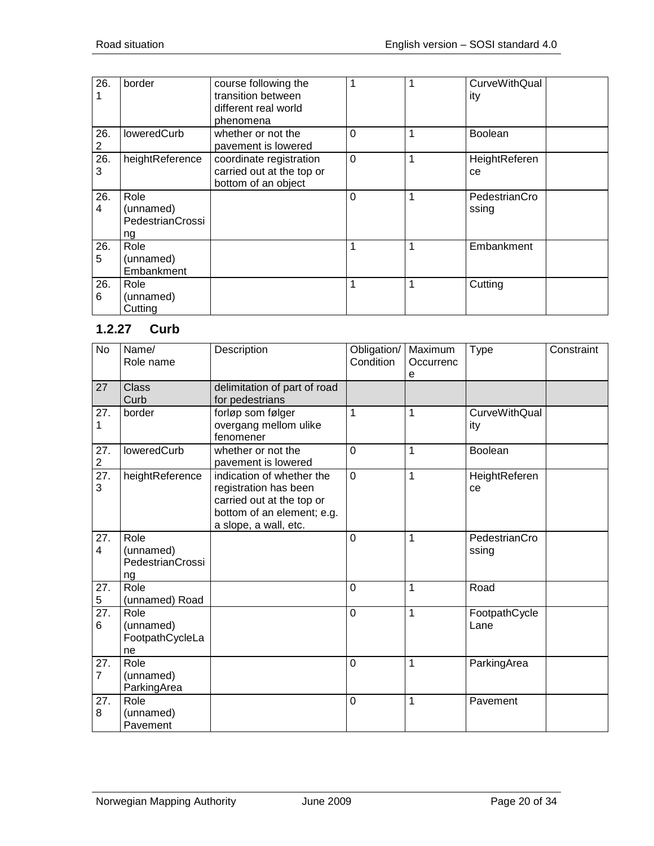| 26.      | border                                      | course following the<br>transition between<br>different real world<br>phenomena | 1              |   | <b>CurveWithQual</b><br>ity |
|----------|---------------------------------------------|---------------------------------------------------------------------------------|----------------|---|-----------------------------|
| 26.<br>2 | loweredCurb                                 | whether or not the<br>pavement is lowered                                       | $\mathbf 0$    | 1 | Boolean                     |
| 26.<br>3 | heightReference                             | coordinate registration<br>carried out at the top or<br>bottom of an object     | $\overline{0}$ | 1 | HeightReferen<br>ce         |
| 26.<br>4 | Role<br>(unnamed)<br>PedestrianCrossi<br>ng |                                                                                 | $\Omega$       | 1 | PedestrianCro<br>ssing      |
| 26.<br>5 | Role<br>(unnamed)<br>Embankment             |                                                                                 | 1              | 1 | Embankment                  |
| 26.<br>6 | Role<br>(unnamed)<br>Cutting                |                                                                                 | 1              | 1 | Cutting                     |

#### <span id="page-19-0"></span>**1.2.27 Curb**

| No                    | Name/<br>Role name                          | Description                                                                                                                            | Obligation/<br>Condition | Maximum<br>Occurrenc<br>e | <b>Type</b>            | Constraint |
|-----------------------|---------------------------------------------|----------------------------------------------------------------------------------------------------------------------------------------|--------------------------|---------------------------|------------------------|------------|
| 27                    | <b>Class</b><br>Curb                        | delimitation of part of road<br>for pedestrians                                                                                        |                          |                           |                        |            |
| 27.<br>1              | border                                      | forløp som følger<br>overgang mellom ulike<br>fenomener                                                                                | 1                        | 1                         | CurveWithQual<br>ity   |            |
| 27.<br>$\overline{2}$ | loweredCurb                                 | whether or not the<br>pavement is lowered                                                                                              | $\overline{0}$           | 1                         | Boolean                |            |
| 27.<br>3              | heightReference                             | indication of whether the<br>registration has been<br>carried out at the top or<br>bottom of an element; e.g.<br>a slope, a wall, etc. | $\overline{0}$           | $\mathbf 1$               | HeightReferen<br>ce    |            |
| 27.<br>4              | Role<br>(unnamed)<br>PedestrianCrossi<br>ng |                                                                                                                                        | $\overline{0}$           | 1                         | PedestrianCro<br>ssing |            |
| 27.<br>5              | Role<br>(unnamed) Road                      |                                                                                                                                        | $\mathbf 0$              | 1                         | Road                   |            |
| 27.<br>6              | Role<br>(unnamed)<br>FootpathCycleLa<br>ne  |                                                                                                                                        | $\overline{0}$           | 1                         | FootpathCycle<br>Lane  |            |
| 27.<br>$\overline{7}$ | Role<br>(unnamed)<br>ParkingArea            |                                                                                                                                        | $\mathbf{0}$             | 1                         | ParkingArea            |            |
| 27.<br>8              | Role<br>(unnamed)<br>Pavement               |                                                                                                                                        | $\mathbf 0$              | 1                         | Pavement               |            |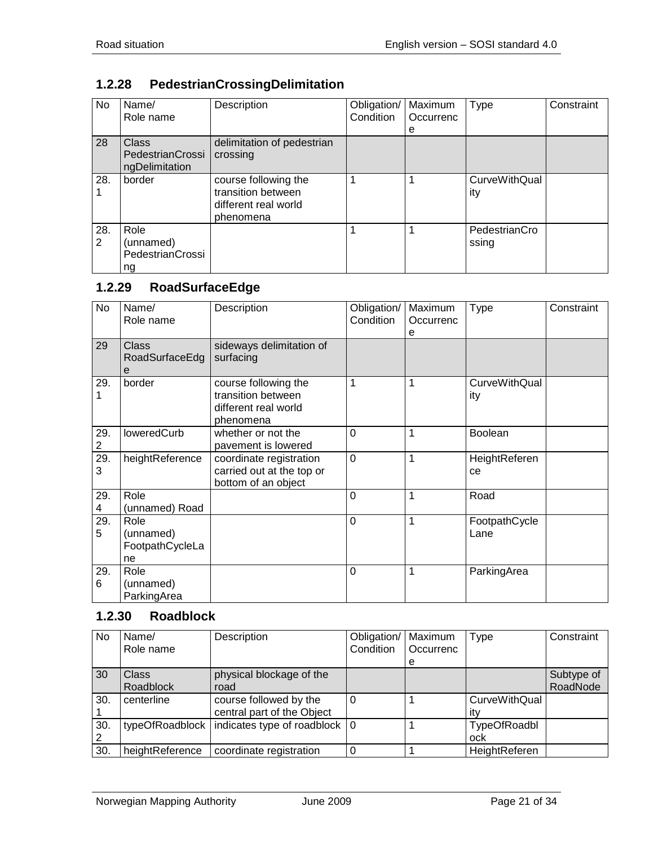# <span id="page-20-0"></span>**1.2.28 PedestrianCrossingDelimitation**

| No       | Name/<br>Role name                                 | Description                                                                     | Obligation/<br>Condition | Maximum<br>Occurrenc<br>е | Type                   | Constraint |
|----------|----------------------------------------------------|---------------------------------------------------------------------------------|--------------------------|---------------------------|------------------------|------------|
| 28       | <b>Class</b><br>PedestrianCrossi<br>ngDelimitation | delimitation of pedestrian<br>crossing                                          |                          |                           |                        |            |
| 28.      | border                                             | course following the<br>transition between<br>different real world<br>phenomena |                          |                           | CurveWithQual<br>ity   |            |
| 28.<br>2 | Role<br>(unnamed)<br><b>PedestrianCrossi</b><br>ng |                                                                                 |                          |                           | PedestrianCro<br>ssing |            |

#### <span id="page-20-1"></span>**1.2.29 RoadSurfaceEdge**

| <b>No</b>             | Name/<br>Role name                         | Description                                                                     | Obligation/<br>Condition | Maximum<br>Occurrenc<br>е | <b>Type</b>                 | Constraint |
|-----------------------|--------------------------------------------|---------------------------------------------------------------------------------|--------------------------|---------------------------|-----------------------------|------------|
| 29                    | <b>Class</b><br>RoadSurfaceEdg<br>е        | sideways delimitation of<br>surfacing                                           |                          |                           |                             |            |
| 29.                   | border                                     | course following the<br>transition between<br>different real world<br>phenomena |                          | 1                         | <b>CurveWithQual</b><br>ity |            |
| 29.<br>$\overline{c}$ | loweredCurb                                | whether or not the<br>pavement is lowered                                       | $\Omega$                 | 1                         | <b>Boolean</b>              |            |
| 29.<br>3              | heightReference                            | coordinate registration<br>carried out at the top or<br>bottom of an object     | $\overline{0}$           | 1                         | HeightReferen<br>ce         |            |
| 29.<br>4              | Role<br>(unnamed) Road                     |                                                                                 | $\overline{0}$           | 1                         | Road                        |            |
| 29.<br>5              | Role<br>(unnamed)<br>FootpathCycleLa<br>ne |                                                                                 | $\Omega$                 | 1                         | FootpathCycle<br>Lane       |            |
| 29.<br>6              | Role<br>(unnamed)<br>ParkingArea           |                                                                                 | $\Omega$                 | 1                         | ParkingArea                 |            |

#### <span id="page-20-2"></span>**1.2.30 Roadblock**

| <b>No</b> | Name/<br>Role name | Description                             | Obligation/<br>Condition | Maximum<br>Occurrenc | Type                 | Constraint |
|-----------|--------------------|-----------------------------------------|--------------------------|----------------------|----------------------|------------|
|           |                    |                                         |                          | e                    |                      |            |
| 30        | <b>Class</b>       | physical blockage of the                |                          |                      |                      | Subtype of |
|           | Roadblock          | road                                    |                          |                      |                      | RoadNode   |
| 30.       | centerline         | course followed by the                  |                          |                      | <b>CurveWithQual</b> |            |
|           |                    | central part of the Object              |                          |                      |                      |            |
| 30.       | typeOfRoadblock    | indicates type of roadblock $ 0\rangle$ |                          |                      | TypeOfRoadbl         |            |
|           |                    |                                         |                          |                      | ock                  |            |
| 30.       | heightReference    | coordinate registration                 |                          |                      | HeightReferen        |            |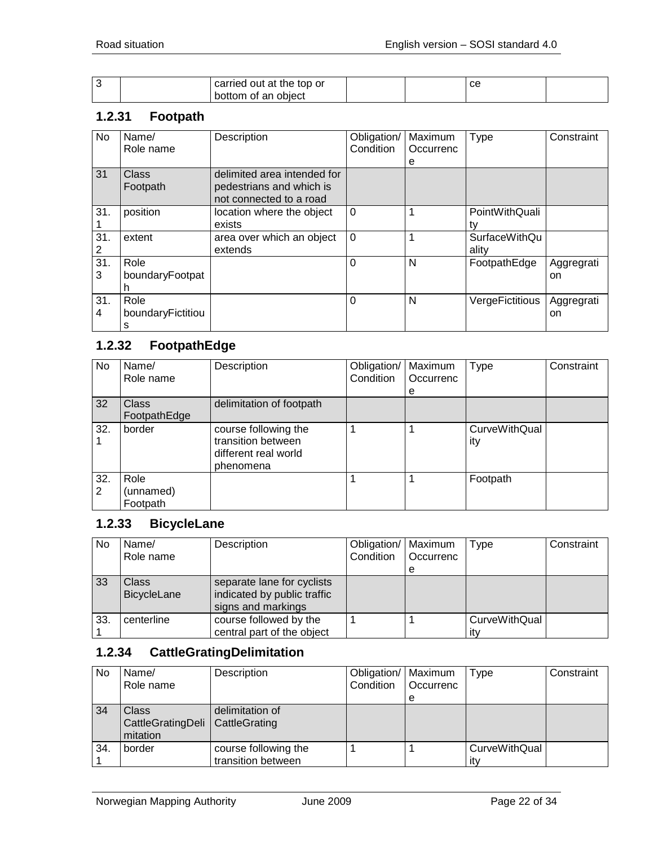|  | carried out at the top or |  | $\sim$<br>◡ |  |
|--|---------------------------|--|-------------|--|
|  | bottom of an object       |  |             |  |

#### <span id="page-21-0"></span>**1.2.31 Footpath**

| No       | Name/<br>Role name             | Description                                                                        | Obligation/<br>Condition | Maximum<br>Occurrenc<br>е | Type                          | Constraint       |
|----------|--------------------------------|------------------------------------------------------------------------------------|--------------------------|---------------------------|-------------------------------|------------------|
| 31       | Class<br>Footpath              | delimited area intended for<br>pedestrians and which is<br>not connected to a road |                          |                           |                               |                  |
| 31.      | position                       | location where the object<br>exists                                                | $\mathbf 0$              |                           | PointWithQuali<br>t٧          |                  |
| 31.<br>2 | extent                         | area over which an object<br>extends                                               | $\Omega$                 |                           | <b>SurfaceWithQu</b><br>ality |                  |
| 31.<br>3 | Role<br>boundaryFootpat        |                                                                                    | 0                        | N                         | FootpathEdge                  | Aggregrati<br>on |
| 31.<br>4 | Role<br>boundaryFictitiou<br>s |                                                                                    | 0                        | N                         | VergeFictitious               | Aggregrati<br>on |

# <span id="page-21-1"></span>**1.2.32 FootpathEdge**

| No  | Name/        | Description              | Obligation/ | Maximum   | <b>Type</b>   | Constraint |
|-----|--------------|--------------------------|-------------|-----------|---------------|------------|
|     | Role name    |                          | Condition   | Occurrenc |               |            |
|     |              |                          |             | е         |               |            |
| 32  | <b>Class</b> | delimitation of footpath |             |           |               |            |
|     | FootpathEdge |                          |             |           |               |            |
| 32. | border       | course following the     |             |           | CurveWithQual |            |
|     |              | transition between       |             |           | ity           |            |
|     |              | different real world     |             |           |               |            |
|     |              | phenomena                |             |           |               |            |
| 32. | Role         |                          |             |           | Footpath      |            |
| 2   | (unnamed)    |                          |             |           |               |            |
|     | Footpath     |                          |             |           |               |            |

#### <span id="page-21-2"></span>**1.2.33 BicycleLane**

| <b>No</b> | Name/                       | Description                                                                     | Obligation/   Maximum |           | Type                 | Constraint |
|-----------|-----------------------------|---------------------------------------------------------------------------------|-----------------------|-----------|----------------------|------------|
|           | Role name                   |                                                                                 | Condition             | Occurrenc |                      |            |
|           |                             |                                                                                 |                       | е         |                      |            |
| 33        | <b>Class</b><br>BicycleLane | separate lane for cyclists<br>indicated by public traffic<br>signs and markings |                       |           |                      |            |
| 33.       | centerline                  | course followed by the<br>central part of the object                            |                       |           | CurveWithQual<br>ıtv |            |

#### <span id="page-21-3"></span>**1.2.34 CattleGratingDelimitation**

| No  | Name/<br>Role name                                     | Description                                | Obligation/   Maximum<br>Condition | <b>Occurrenc</b> | Type                 | Constraint |
|-----|--------------------------------------------------------|--------------------------------------------|------------------------------------|------------------|----------------------|------------|
|     |                                                        |                                            |                                    | е                |                      |            |
| 34  | Class<br>CattleGratingDeli   CattleGrating<br>mitation | delimitation of                            |                                    |                  |                      |            |
| 34. | border                                                 | course following the<br>transition between |                                    |                  | CurveWithQual<br>itv |            |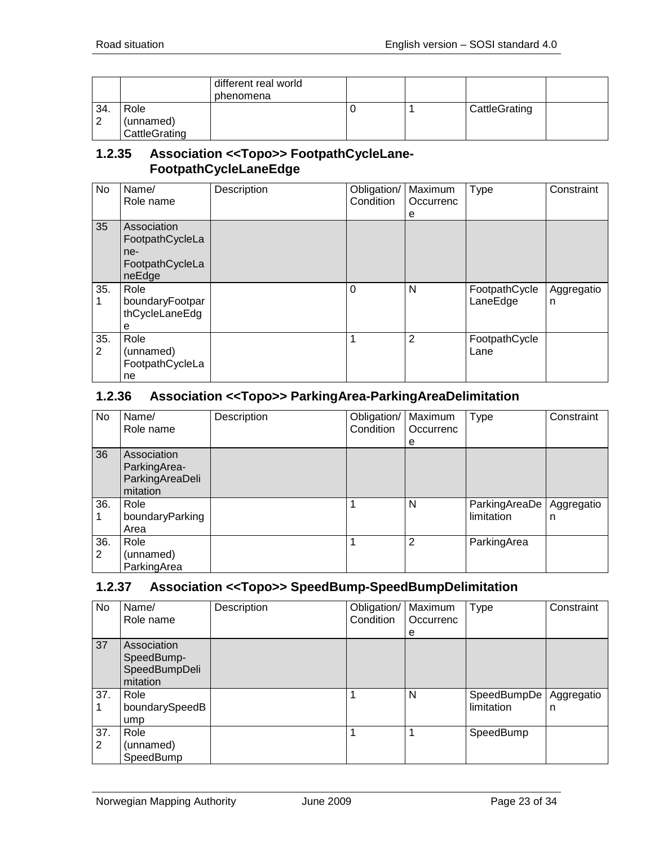|                |               | different real world<br>phenomena |  |               |  |
|----------------|---------------|-----------------------------------|--|---------------|--|
| 34.            | Role          |                                   |  | CattleGrating |  |
| $\overline{2}$ | (unnamed)     |                                   |  |               |  |
|                | CattleGrating |                                   |  |               |  |

#### <span id="page-22-0"></span>**1.2.35 Association <<Topo>> FootpathCycleLane-FootpathCycleLaneEdge**

| <b>No</b>             | Name/<br>Role name                                                 | Description | Obligation/<br>Condition | Maximum<br>Occurrenc<br>е | Type                      | Constraint      |
|-----------------------|--------------------------------------------------------------------|-------------|--------------------------|---------------------------|---------------------------|-----------------|
| 35                    | Association<br>FootpathCycleLa<br>ne-<br>FootpathCycleLa<br>neEdge |             |                          |                           |                           |                 |
| 35.                   | Role<br>boundaryFootpar<br>thCycleLaneEdg<br>е                     |             | 0                        | N                         | FootpathCycle<br>LaneEdge | Aggregatio<br>n |
| 35.<br>$\overline{2}$ | Role<br>(unnamed)<br>FootpathCycleLa<br>ne                         |             |                          | 2                         | FootpathCycle<br>Lane     |                 |

#### <span id="page-22-1"></span>**1.2.36 Association <<Topo>> ParkingArea-ParkingAreaDelimitation**

| No       | Name/<br>Role name                                         | Description | Obligation/   Maximum<br>Condition | Occurrenc | Type                        | Constraint      |
|----------|------------------------------------------------------------|-------------|------------------------------------|-----------|-----------------------------|-----------------|
|          |                                                            |             |                                    | е         |                             |                 |
| 36       | Association<br>ParkingArea-<br>ParkingAreaDeli<br>mitation |             |                                    |           |                             |                 |
| 36.      | Role<br>boundaryParking<br>Area                            |             | 1                                  | N         | ParkingAreaDe<br>limitation | Aggregatio<br>n |
| 36.<br>2 | Role<br>(unnamed)<br>ParkingArea                           |             |                                    | 2         | ParkingArea                 |                 |

#### <span id="page-22-2"></span>**1.2.37 Association <<Topo>> SpeedBump-SpeedBumpDelimitation**

| No       | Name/<br>Role name                                     | Description | Obligation/<br>Condition | Maximum<br>Occurrenc | <b>Type</b>               | Constraint      |
|----------|--------------------------------------------------------|-------------|--------------------------|----------------------|---------------------------|-----------------|
|          |                                                        |             |                          | e                    |                           |                 |
| 37       | Association<br>SpeedBump-<br>SpeedBumpDeli<br>mitation |             |                          |                      |                           |                 |
| 37.      | Role<br>boundarySpeedB<br>ump                          |             |                          | N                    | SpeedBumpDe<br>limitation | Aggregatio<br>n |
| 37.<br>2 | Role<br>(unnamed)<br>SpeedBump                         |             |                          |                      | SpeedBump                 |                 |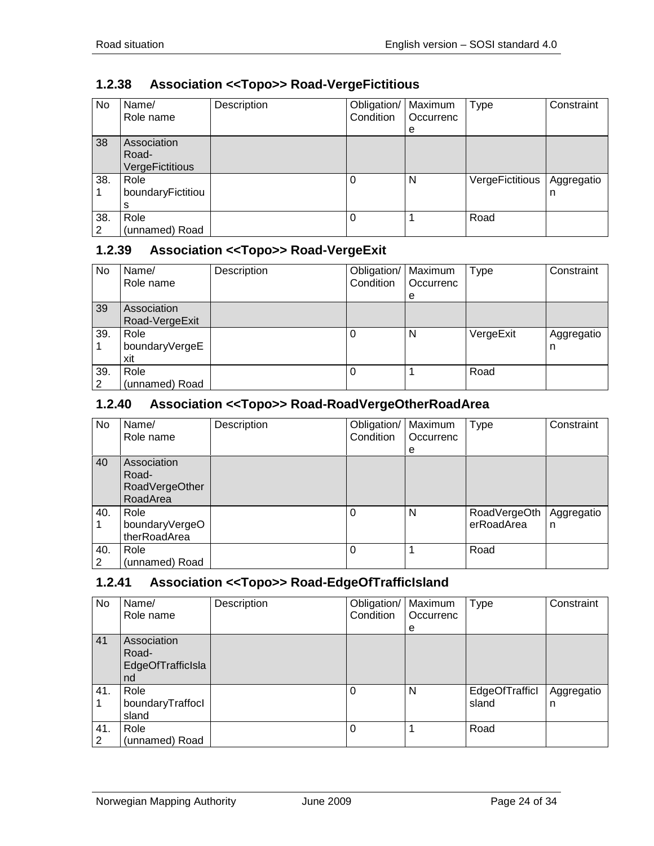2

(unnamed) Road

| No  | Name/<br>Role name                      | Description | Obligation/<br>Condition | Maximum<br>Occurrenc<br>е | Type            | Constraint      |
|-----|-----------------------------------------|-------------|--------------------------|---------------------------|-----------------|-----------------|
| 38  | Association<br>Road-<br>VergeFictitious |             |                          |                           |                 |                 |
| 38. | Role<br>boundaryFictitiou<br>s          |             | 0                        | N                         | VergeFictitious | Aggregatio<br>n |
| 38. | Role                                    |             |                          |                           | Road            |                 |

# <span id="page-23-0"></span>**1.2.38 Association <<Topo>> Road-VergeFictitious**

#### <span id="page-23-1"></span>**1.2.39 Association <<Topo>> Road-VergeExit**

| No       | Name/<br>Role name            | Description | Obligation/   Maximum<br>Condition | Occurrenc<br>е | Type      | Constraint      |
|----------|-------------------------------|-------------|------------------------------------|----------------|-----------|-----------------|
| 39       | Association<br>Road-VergeExit |             |                                    |                |           |                 |
| 39.      | Role<br>boundaryVergeE<br>xit |             |                                    | N              | VergeExit | Aggregatio<br>n |
| 39.<br>2 | Role<br>(unnamed) Road        |             |                                    |                | Road      |                 |

#### <span id="page-23-2"></span>**1.2.40 Association <<Topo>> Road-RoadVergeOtherRoadArea**

| No       | Name/<br>Role name                                 | Description | Obligation/<br>Condition | Maximum<br>Occurrenc<br>e | <b>Type</b>                | Constraint      |
|----------|----------------------------------------------------|-------------|--------------------------|---------------------------|----------------------------|-----------------|
| 40       | Association<br>Road-<br>RoadVergeOther<br>RoadArea |             |                          |                           |                            |                 |
| 40.      | Role<br>boundaryVergeO<br>therRoadArea             |             |                          | N                         | RoadVergeOth<br>erRoadArea | Aggregatio<br>n |
| 40.<br>2 | Role<br>(unnamed) Road                             |             | 0                        |                           | Road                       |                 |

#### <span id="page-23-3"></span>**1.2.41 Association <<Topo>> Road-EdgeOfTrafficIsland**

| No.      | Name/<br>Role name                              | Description | Obligation/<br>Condition | Maximum<br>Occurrenc<br>е | <b>Type</b>             | Constraint      |
|----------|-------------------------------------------------|-------------|--------------------------|---------------------------|-------------------------|-----------------|
| 41       | Association<br>Road-<br>EdgeOfTrafficIsla<br>nd |             |                          |                           |                         |                 |
| 41.      | Role<br>boundaryTraffocl<br>sland               |             | 0                        | N                         | EdgeOfTrafficl<br>sland | Aggregatio<br>n |
| 41.<br>2 | Role<br>(unnamed) Road                          |             | 0                        |                           | Road                    |                 |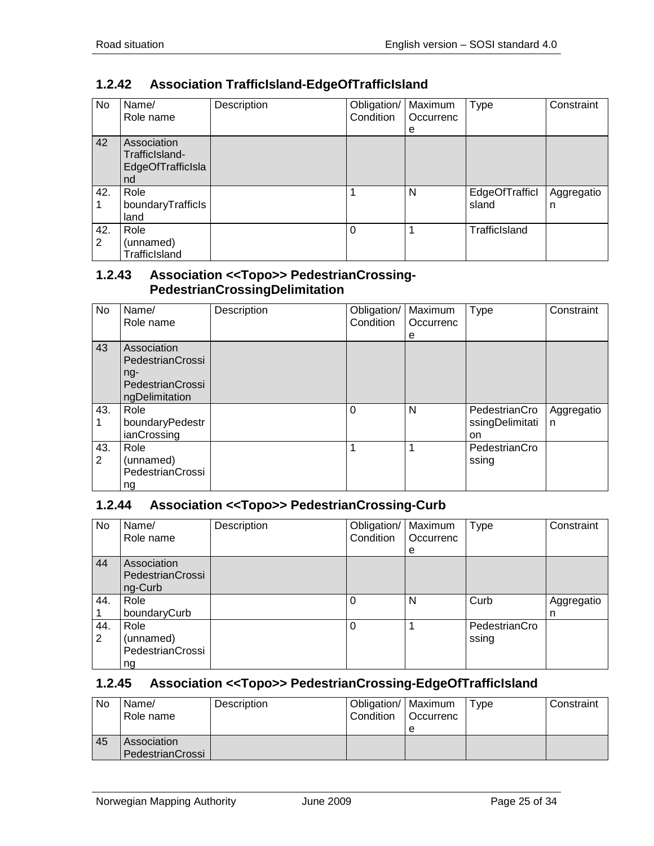TrafficIsland

| No       | Name/<br>Role name                                       | Description | Obligation/<br>Condition | Maximum<br>Occurrenc<br>e | <b>Type</b>             | Constraint      |
|----------|----------------------------------------------------------|-------------|--------------------------|---------------------------|-------------------------|-----------------|
| 42       | Association<br>TrafficIsland-<br>EdgeOfTrafficIsla<br>nd |             |                          |                           |                         |                 |
| 42.      | Role<br>boundaryTrafficls<br>land                        |             |                          | N                         | EdgeOfTrafficl<br>sland | Aggregatio<br>n |
| 42.<br>2 | Role<br>(unnamed)                                        |             | 0                        |                           | TrafficIsland           |                 |

# <span id="page-24-0"></span>**1.2.42 Association TrafficIsland-EdgeOfTrafficIsland**

#### <span id="page-24-1"></span>**1.2.43 Association <<Topo>> PedestrianCrossing-PedestrianCrossingDelimitation**

| No       | Name/<br>Role name                                                             | Description | Obligation/<br>Condition | Maximum<br>Occurrenc<br>е | <b>Type</b>                            | Constraint      |
|----------|--------------------------------------------------------------------------------|-------------|--------------------------|---------------------------|----------------------------------------|-----------------|
| 43       | Association<br>PedestrianCrossi<br>$ng-$<br>PedestrianCrossi<br>ngDelimitation |             |                          |                           |                                        |                 |
| 43.      | Role<br>boundaryPedestr<br>ianCrossing                                         |             | 0                        | N                         | PedestrianCro<br>ssingDelimitati<br>on | Aggregatio<br>n |
| 43.<br>2 | Role<br>(unnamed)<br>PedestrianCrossi<br>ng                                    |             |                          |                           | PedestrianCro<br>ssing                 |                 |

#### <span id="page-24-2"></span>**1.2.44 Association <<Topo>> PedestrianCrossing-Curb**

| <b>No</b> | Name/<br>Role name                                 | Description | Obligation/<br>Condition | Maximum<br>Occurrenc<br>e | Type                   | Constraint      |
|-----------|----------------------------------------------------|-------------|--------------------------|---------------------------|------------------------|-----------------|
| 44        | Association<br><b>PedestrianCrossi</b><br>ng-Curb  |             |                          |                           |                        |                 |
| 44.       | Role<br>boundaryCurb                               |             | 0                        | N                         | Curb                   | Aggregatio<br>n |
| 44.<br>2  | Role<br>(unnamed)<br><b>PedestrianCrossi</b><br>ng |             | 0                        |                           | PedestrianCro<br>ssing |                 |

#### <span id="page-24-3"></span>**1.2.45 Association <<Topo>> PedestrianCrossing-EdgeOfTrafficIsland**

| No | Name/<br>Role name | Description | Obligation/   Maximum<br>Condition | <b>Occurrenc</b> | Type | Constraint |
|----|--------------------|-------------|------------------------------------|------------------|------|------------|
|    |                    |             |                                    | e                |      |            |
| 45 | Association        |             |                                    |                  |      |            |
|    | PedestrianCrossi   |             |                                    |                  |      |            |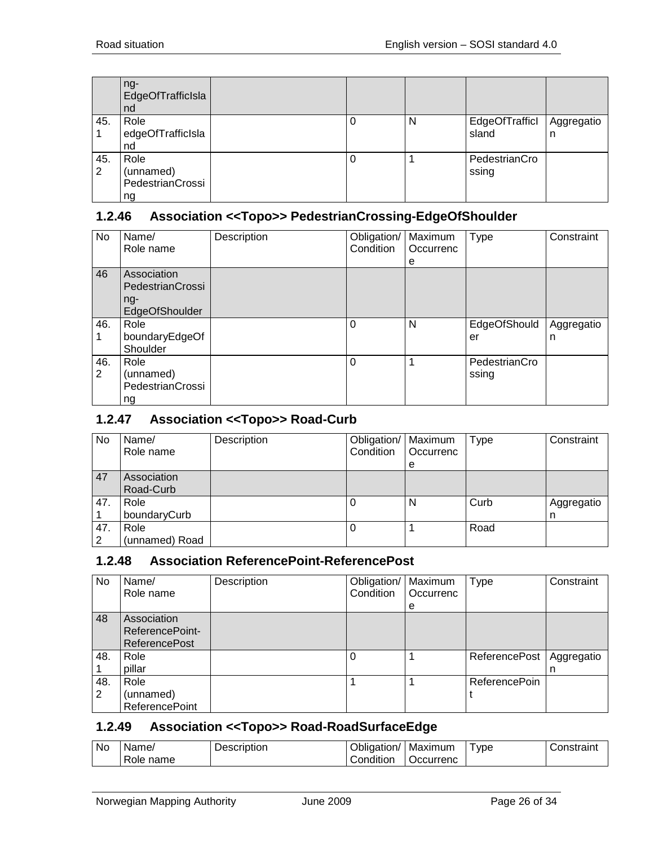|          | ng-<br>EdgeOfTrafficIsla<br>nd              |  |   |                         |                 |
|----------|---------------------------------------------|--|---|-------------------------|-----------------|
| 45.      | Role<br>edgeOfTrafficIsla<br>nd             |  | N | EdgeOfTrafficl<br>sland | Aggregatio<br>n |
| 45.<br>2 | Role<br>(unnamed)<br>PedestrianCrossi<br>ng |  |   | PedestrianCro<br>ssing  |                 |

#### <span id="page-25-0"></span>**1.2.46 Association <<Topo>> PedestrianCrossing-EdgeOfShoulder**

| No       | Name/<br>Role name                                         | Description | Obligation/<br>Condition | Maximum<br>Occurrenc<br>е | <b>Type</b>            | Constraint      |
|----------|------------------------------------------------------------|-------------|--------------------------|---------------------------|------------------------|-----------------|
| 46       | Association<br>PedestrianCrossi<br>$nq-$<br>EdgeOfShoulder |             |                          |                           |                        |                 |
| 46.      | Role<br>boundaryEdgeOf<br>Shoulder                         |             | 0                        | N                         | EdgeOfShould<br>er     | Aggregatio<br>n |
| 46.<br>2 | Role<br>(unnamed)<br>PedestrianCrossi<br>ng                |             | 0                        |                           | PedestrianCro<br>ssing |                 |

#### <span id="page-25-1"></span>**1.2.47 Association <<Topo>> Road-Curb**

| No       | Name/<br>Role name       | Description | Obligation/<br>Condition | Maximum<br>Occurrenc | Type | Constraint      |
|----------|--------------------------|-------------|--------------------------|----------------------|------|-----------------|
|          |                          |             |                          | е                    |      |                 |
| 47       | Association<br>Road-Curb |             |                          |                      |      |                 |
| 47.      | Role<br>boundaryCurb     |             | O                        | N                    | Curb | Aggregatio<br>n |
| 47.<br>C | Role<br>(unnamed) Road   |             | 0                        |                      | Road |                 |

#### <span id="page-25-2"></span>**1.2.48 Association ReferencePoint-ReferencePost**

| No       | Name/<br>Role name                                     | Description | Obligation/<br>Condition | Maximum<br>Occurrenc<br>е | <b>Type</b>          | Constraint      |
|----------|--------------------------------------------------------|-------------|--------------------------|---------------------------|----------------------|-----------------|
| 48       | Association<br>ReferencePoint-<br><b>ReferencePost</b> |             |                          |                           |                      |                 |
| 48.      | Role<br>pillar                                         |             |                          |                           | <b>ReferencePost</b> | Aggregatio<br>n |
| 48.<br>2 | Role<br>(unnamed)<br><b>ReferencePoint</b>             |             |                          |                           | <b>ReferencePoin</b> |                 |

#### <span id="page-25-3"></span>**1.2.49 Association <<Topo>> Road-RoadSurfaceEdge**

| <b>No</b> | Name/             | Description | . .<br>Obligation/ | Maximum         | <b>VDE</b> | onstraint |
|-----------|-------------------|-------------|--------------------|-----------------|------------|-----------|
|           | -<br>name<br>Role |             | 1.1.1<br>Condition | <b>Ccurrenc</b> |            |           |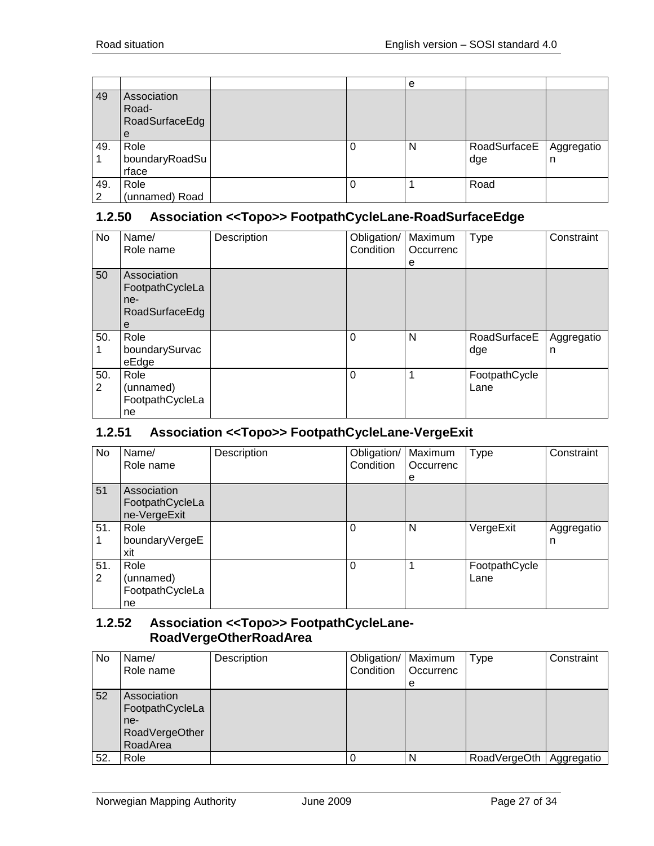|          |                                             |  | e |                     |                 |
|----------|---------------------------------------------|--|---|---------------------|-----------------|
| 49       | Association<br>Road-<br>RoadSurfaceEdg<br>е |  |   |                     |                 |
| 49.      | Role<br>boundaryRoadSu<br>rface             |  | N | RoadSurfaceE<br>dge | Aggregatio<br>n |
| 49.<br>2 | Role<br>(unnamed) Road                      |  |   | Road                |                 |

#### <span id="page-26-0"></span>**1.2.50 Association <<Topo>> FootpathCycleLane-RoadSurfaceEdge**

| No                    | Name/<br>Role name                                           | Description | Obligation/<br>Condition | Maximum<br>Occurrenc<br>е | Type                  | Constraint      |
|-----------------------|--------------------------------------------------------------|-------------|--------------------------|---------------------------|-----------------------|-----------------|
| 50                    | Association<br>FootpathCycleLa<br>ne-<br>RoadSurfaceEdg<br>е |             |                          |                           |                       |                 |
| 50.                   | Role<br>boundarySurvac<br>eEdge                              |             | $\mathbf 0$              | N                         | RoadSurfaceE<br>dge   | Aggregatio<br>n |
| 50.<br>$\overline{2}$ | Role<br>(unnamed)<br>FootpathCycleLa<br>ne                   |             | $\Omega$                 | 1                         | FootpathCycle<br>Lane |                 |

# <span id="page-26-1"></span>**1.2.51 Association <<Topo>> FootpathCycleLane-VergeExit**

| No       | Name/<br>Role name                             | Description | Obligation/   Maximum<br>Condition | Occurrenc<br>е | <b>Type</b>           | Constraint      |
|----------|------------------------------------------------|-------------|------------------------------------|----------------|-----------------------|-----------------|
| 51       | Association<br>FootpathCycleLa<br>ne-VergeExit |             |                                    |                |                       |                 |
| 51.      | Role<br>boundaryVergeE<br>xit                  |             | $\Omega$                           | N              | VergeExit             | Aggregatio<br>n |
| 51.<br>2 | Role<br>(unnamed)<br>FootpathCycleLa<br>ne     |             | $\Omega$                           | 1              | FootpathCycle<br>Lane |                 |

#### <span id="page-26-2"></span>**1.2.52 Association <<Topo>> FootpathCycleLane-RoadVergeOtherRoadArea**

| No. | Name/<br>Role name                                                  | Description | Obligation/<br>Condition | Maximum<br>Occurrenc<br>е | Type                      | Constraint |
|-----|---------------------------------------------------------------------|-------------|--------------------------|---------------------------|---------------------------|------------|
| 52  | Association<br>FootpathCycleLa<br>ne-<br>RoadVergeOther<br>RoadArea |             |                          |                           |                           |            |
| 52. | Role                                                                |             |                          | N                         | RoadVergeOth   Aggregatio |            |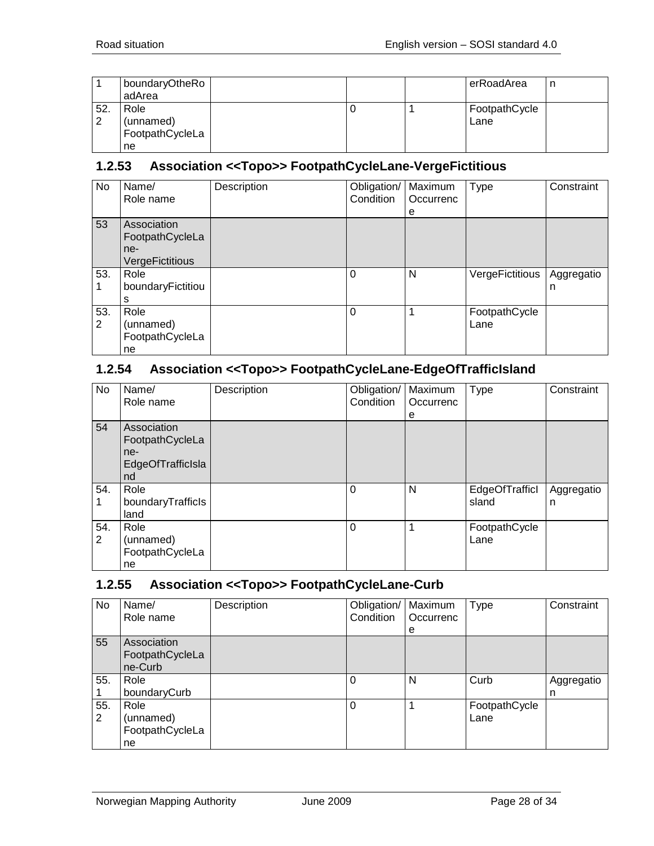|          | boundaryOtheRo<br>adArea                   |  | erRoadArea            | n |
|----------|--------------------------------------------|--|-----------------------|---|
| 52.<br>2 | Role<br>(unnamed)<br>FootpathCycleLa<br>ne |  | FootpathCycle<br>Lane |   |

#### <span id="page-27-0"></span>**1.2.53 Association <<Topo>> FootpathCycleLane-VergeFictitious**

| No       | Name/<br>Role name                                       | Description | Obligation/<br>Condition | Maximum<br>Occurrenc<br>е | <b>Type</b>           | Constraint      |
|----------|----------------------------------------------------------|-------------|--------------------------|---------------------------|-----------------------|-----------------|
| 53       | Association<br>FootpathCycleLa<br>ne-<br>VergeFictitious |             |                          |                           |                       |                 |
| 53.      | Role<br>boundaryFictitiou<br>s                           |             | 0                        | N                         | VergeFictitious       | Aggregatio<br>n |
| 53.<br>2 | Role<br>(unnamed)<br>FootpathCycleLa<br>ne               |             | 0                        |                           | FootpathCycle<br>Lane |                 |

### <span id="page-27-1"></span>**1.2.54 Association <<Topo>> FootpathCycleLane-EdgeOfTrafficIsland**

| No       | Name/<br>Role name                                               | Description | Obligation/<br>Condition | Maximum<br>Occurrenc<br>е | <b>Type</b>             | Constraint      |
|----------|------------------------------------------------------------------|-------------|--------------------------|---------------------------|-------------------------|-----------------|
| 54       | Association<br>FootpathCycleLa<br>ne-<br>EdgeOfTrafficIsla<br>nd |             |                          |                           |                         |                 |
| 54.      | Role<br>boundaryTrafficls<br>land                                |             | $\Omega$                 | N                         | EdgeOfTrafficl<br>sland | Aggregatio<br>n |
| 54.<br>2 | Role<br>(unnamed)<br>FootpathCycleLa<br>ne                       |             | $\Omega$                 | 1                         | FootpathCycle<br>Lane   |                 |

# <span id="page-27-2"></span>**1.2.55 Association <<Topo>> FootpathCycleLane-Curb**

| No       | Name/<br>Role name                         | Description | Obligation/<br>Condition | Maximum<br>Occurrenc<br>е | <b>Type</b>           | Constraint      |
|----------|--------------------------------------------|-------------|--------------------------|---------------------------|-----------------------|-----------------|
| 55       | Association<br>FootpathCycleLa<br>ne-Curb  |             |                          |                           |                       |                 |
| 55.      | Role<br>boundaryCurb                       |             | 0                        | N                         | Curb                  | Aggregatio<br>n |
| 55.<br>2 | Role<br>(unnamed)<br>FootpathCycleLa<br>ne |             | 0                        |                           | FootpathCycle<br>Lane |                 |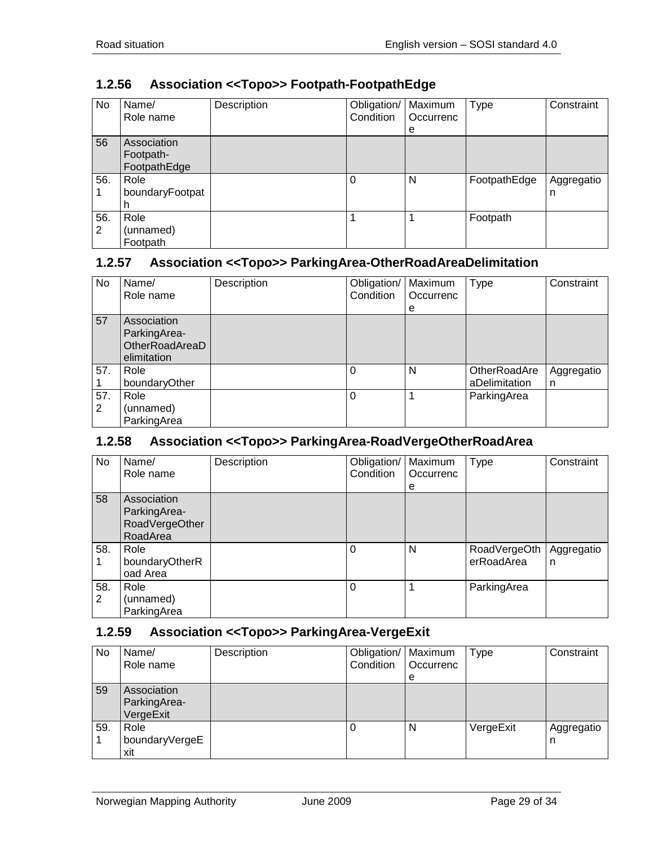| No       | Name/<br>Role name                       | Description | Obligation/<br>Condition | Maximum<br>Occurrenc<br>е | <b>Type</b>  | Constraint      |
|----------|------------------------------------------|-------------|--------------------------|---------------------------|--------------|-----------------|
| 56       | Association<br>Footpath-<br>FootpathEdge |             |                          |                           |              |                 |
| 56.      | Role<br>boundaryFootpat                  |             | 0                        | N                         | FootpathEdge | Aggregatio<br>n |
| 56.<br>2 | Role<br>(unnamed)<br>Footpath            |             |                          |                           | Footpath     |                 |

# <span id="page-28-0"></span>**1.2.56 Association <<Topo>> Footpath-FootpathEdge**

#### <span id="page-28-1"></span>**1.2.57 Association <<Topo>> ParkingArea-OtherRoadAreaDelimitation**

| No       | Name/<br>Role name                                           | Description | Obligation/<br>Condition | Maximum<br>Occurrenc<br>е | Type                          | Constraint      |
|----------|--------------------------------------------------------------|-------------|--------------------------|---------------------------|-------------------------------|-----------------|
| 57       | Association<br>ParkingArea-<br>OtherRoadAreaD<br>elimitation |             |                          |                           |                               |                 |
| 57.      | Role<br>boundaryOther                                        |             | 0                        | N                         | OtherRoadAre<br>aDelimitation | Aggregatio<br>n |
| 57.<br>2 | Role<br>(unnamed)<br>ParkingArea                             |             | $\Omega$                 |                           | ParkingArea                   |                 |

#### <span id="page-28-2"></span>**1.2.58 Association <<Topo>> ParkingArea-RoadVergeOtherRoadArea**

| No       | Name/<br>Role name                                        | Description | Obligation/<br>Condition | Maximum<br>Occurrenc<br>е | <b>Type</b>                | Constraint      |
|----------|-----------------------------------------------------------|-------------|--------------------------|---------------------------|----------------------------|-----------------|
| 58       | Association<br>ParkingArea-<br>RoadVergeOther<br>RoadArea |             |                          |                           |                            |                 |
| 58.      | Role<br>boundaryOtherR<br>oad Area                        |             | $\Omega$                 | N                         | RoadVergeOth<br>erRoadArea | Aggregatio<br>n |
| 58.<br>2 | Role<br>(unnamed)<br>ParkingArea                          |             | $\Omega$                 |                           | ParkingArea                |                 |

# <span id="page-28-3"></span>**1.2.59 Association <<Topo>> ParkingArea-VergeExit**

| No  | Name/<br>Role name                       | Description | Obligation/   Maximum<br>Condition | Occurrenc<br>е | Type      | Constraint      |
|-----|------------------------------------------|-------------|------------------------------------|----------------|-----------|-----------------|
| 59  | Association<br>ParkingArea-<br>VergeExit |             |                                    |                |           |                 |
| 59. | Role<br>boundaryVergeE<br>xit            |             |                                    | N              | VergeExit | Aggregatio<br>n |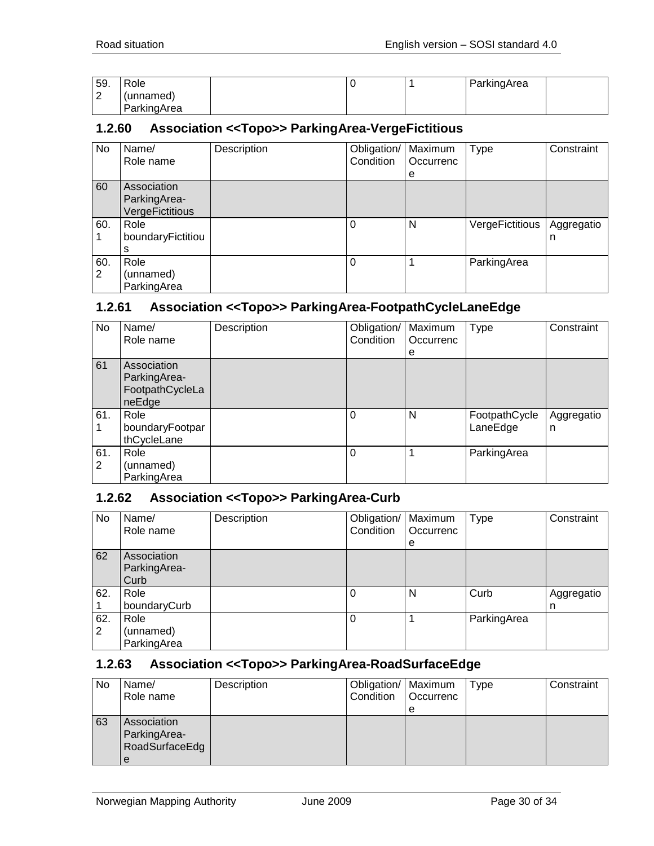| 59.           | Role        |  | ParkingArea |  |
|---------------|-------------|--|-------------|--|
| ⌒<br><u>_</u> | (unnamed)   |  |             |  |
|               | ParkingArea |  |             |  |

#### <span id="page-29-0"></span>**1.2.60 Association <<Topo>> ParkingArea-VergeFictitious**

| No  | Name/             | Description | Obligation/   Maximum |           | <b>Type</b>     | Constraint |
|-----|-------------------|-------------|-----------------------|-----------|-----------------|------------|
|     | Role name         |             | Condition             | Occurrenc |                 |            |
|     |                   |             |                       | e         |                 |            |
| 60  | Association       |             |                       |           |                 |            |
|     | ParkingArea-      |             |                       |           |                 |            |
|     | VergeFictitious   |             |                       |           |                 |            |
| 60. | Role              |             | $\Omega$              | N         | VergeFictitious | Aggregatio |
|     | boundaryFictitiou |             |                       |           |                 | n          |
|     |                   |             |                       |           |                 |            |
| 60. | Role              |             | $\Omega$              |           | ParkingArea     |            |
| 2   | (unnamed)         |             |                       |           |                 |            |
|     | ParkingArea       |             |                       |           |                 |            |

#### <span id="page-29-1"></span>**1.2.61 Association <<Topo>> ParkingArea-FootpathCycleLaneEdge**

| No       | Name/<br>Role name                                       | Description | Obligation/<br>Condition | Maximum<br>Occurrenc | Type                      | Constraint      |
|----------|----------------------------------------------------------|-------------|--------------------------|----------------------|---------------------------|-----------------|
|          |                                                          |             |                          | е                    |                           |                 |
| 61       | Association<br>ParkingArea-<br>FootpathCycleLa<br>neEdge |             |                          |                      |                           |                 |
| 61.      | Role<br>boundaryFootpar<br>thCycleLane                   |             | $\Omega$                 | N                    | FootpathCycle<br>LaneEdge | Aggregatio<br>n |
| 61.<br>2 | Role<br>(unnamed)<br>ParkingArea                         |             | $\Omega$                 |                      | ParkingArea               |                 |

#### <span id="page-29-2"></span>**1.2.62 Association <<Topo>> ParkingArea-Curb**

| No       | Name/<br>Role name                  | Description | Obligation/   Maximum<br>Condition | Occurrenc<br>e | <b>Type</b> | Constraint      |
|----------|-------------------------------------|-------------|------------------------------------|----------------|-------------|-----------------|
| 62       | Association<br>ParkingArea-<br>Curb |             |                                    |                |             |                 |
| 62.      | Role<br>boundaryCurb                |             |                                    | N              | Curb        | Aggregatio<br>n |
| 62.<br>2 | Role<br>(unnamed)<br>ParkingArea    |             |                                    |                | ParkingArea |                 |

#### <span id="page-29-3"></span>**1.2.63 Association <<Topo>> ParkingArea-RoadSurfaceEdge**

| No | Name/<br>Role name                                 | Description | Obligation/   Maximum<br>Condition | <b>Occurrenc</b><br>e | <b>Type</b> | Constraint |
|----|----------------------------------------------------|-------------|------------------------------------|-----------------------|-------------|------------|
| 63 | Association<br>ParkingArea-<br>RoadSurfaceEdg<br>e |             |                                    |                       |             |            |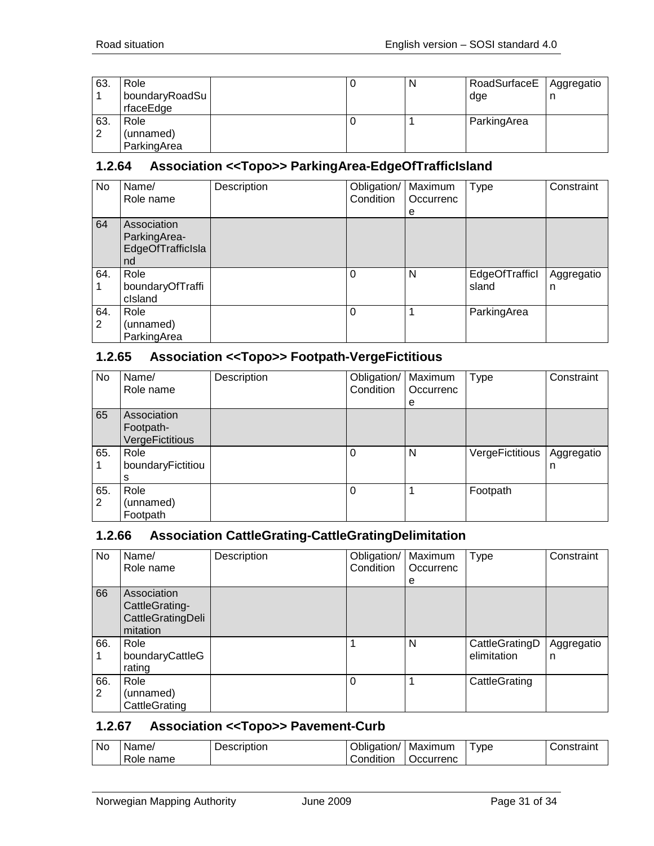| 63. | Role<br>boundaryRoadSu<br>rfaceEdge |  | N | RoadSurfaceE<br>dge | Aggregatio<br>n |
|-----|-------------------------------------|--|---|---------------------|-----------------|
| 63. | Role                                |  |   | ParkingArea         |                 |
| 2   | (unnamed)                           |  |   |                     |                 |
|     | ParkingArea                         |  |   |                     |                 |

#### <span id="page-30-0"></span>**1.2.64 Association <<Topo>> ParkingArea-EdgeOfTrafficIsland**

| No       | Name/<br>Role name                                     | Description | Obligation/   Maximum<br>Condition | Occurrenc<br>е | Type                    | Constraint      |
|----------|--------------------------------------------------------|-------------|------------------------------------|----------------|-------------------------|-----------------|
| 64       | Association<br>ParkingArea-<br>EdgeOfTrafficIsla<br>nd |             |                                    |                |                         |                 |
| 64.      | Role<br>boundaryOfTraffi<br>cisland                    |             | $\Omega$                           | N              | EdgeOfTrafficl<br>sland | Aggregatio<br>n |
| 64.<br>2 | Role<br>(unnamed)<br>ParkingArea                       |             | $\Omega$                           |                | ParkingArea             |                 |

#### <span id="page-30-1"></span>**1.2.65 Association <<Topo>> Footpath-VergeFictitious**

| No  | Name/             | Description | Obligation/   Maximum |           | <b>Type</b>     | Constraint |
|-----|-------------------|-------------|-----------------------|-----------|-----------------|------------|
|     | Role name         |             | Condition             | Occurrenc |                 |            |
|     |                   |             |                       | e         |                 |            |
| 65  | Association       |             |                       |           |                 |            |
|     | Footpath-         |             |                       |           |                 |            |
|     | VergeFictitious   |             |                       |           |                 |            |
| 65. | Role              |             | $\Omega$              | N         | VergeFictitious | Aggregatio |
|     | boundaryFictitiou |             |                       |           |                 | n          |
|     | s                 |             |                       |           |                 |            |
| 65. | Role              |             | $\Omega$              |           | Footpath        |            |
| 2   | (unnamed)         |             |                       |           |                 |            |
|     | Footpath          |             |                       |           |                 |            |

#### <span id="page-30-2"></span>**1.2.66 Association CattleGrating-CattleGratingDelimitation**

| No       | Name/<br>Role name                                             | Description | Obligation/<br>Condition | Maximum<br>Occurrenc | <b>Type</b>                   | Constraint      |
|----------|----------------------------------------------------------------|-------------|--------------------------|----------------------|-------------------------------|-----------------|
|          |                                                                |             |                          | е                    |                               |                 |
| 66       | Association<br>CattleGrating-<br>CattleGratingDeli<br>mitation |             |                          |                      |                               |                 |
| 66.      | Role<br>boundaryCattleG<br>rating                              |             |                          | N                    | CattleGratingD<br>elimitation | Aggregatio<br>n |
| 66.<br>2 | Role<br>(unnamed)<br>CattleGrating                             |             | 0                        |                      | CattleGrating                 |                 |

#### <span id="page-30-3"></span>**1.2.67 Association <<Topo>> Pavement-Curb**

| No | Name/             | Description | )blic<br>laation/ | Maximum           | ' ype | `onotroint |
|----|-------------------|-------------|-------------------|-------------------|-------|------------|
|    | -<br>name<br>Role |             | .<br>Condition    | <i>)</i> ccurrenc |       |            |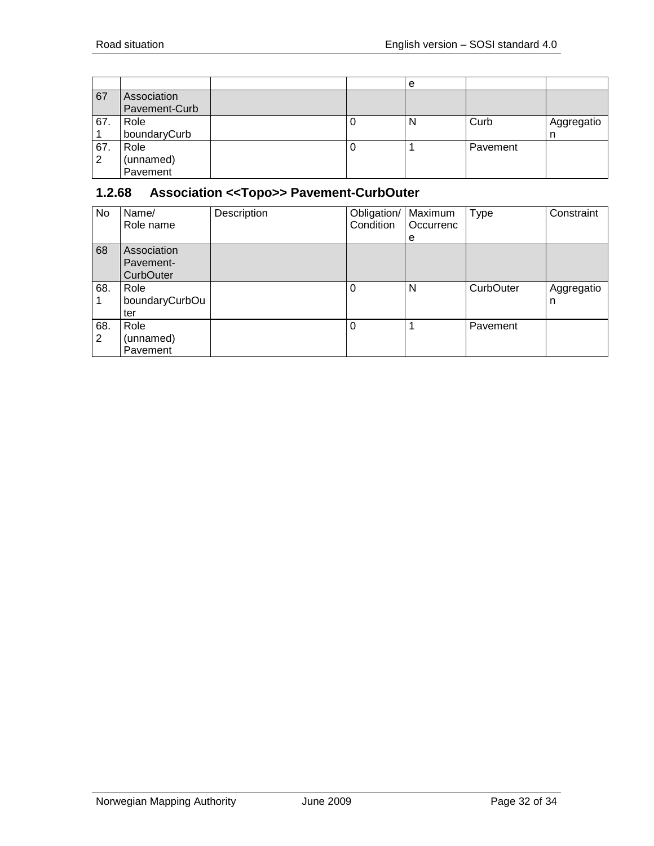|          |                               |  | е |          |                 |
|----------|-------------------------------|--|---|----------|-----------------|
| 67       | Association<br>Pavement-Curb  |  |   |          |                 |
| 67.      | Role<br>boundaryCurb          |  | N | Curb     | Aggregatio<br>n |
| 67.<br>2 | Role<br>(unnamed)<br>Pavement |  |   | Pavement |                 |

# <span id="page-31-0"></span>**1.2.68 Association <<Topo>> Pavement-CurbOuter**

| No       | Name/<br>Role name                    | Description | Obligation/<br>Condition | Maximum<br>Occurrenc<br>е | <b>Type</b>      | Constraint      |
|----------|---------------------------------------|-------------|--------------------------|---------------------------|------------------|-----------------|
| 68       | Association<br>Pavement-<br>CurbOuter |             |                          |                           |                  |                 |
| 68.      | Role<br>boundaryCurbOu<br>ter         |             | $\Omega$                 | N                         | <b>CurbOuter</b> | Aggregatio<br>n |
| 68.<br>2 | Role<br>(unnamed)<br>Pavement         |             | $\Omega$                 |                           | Pavement         |                 |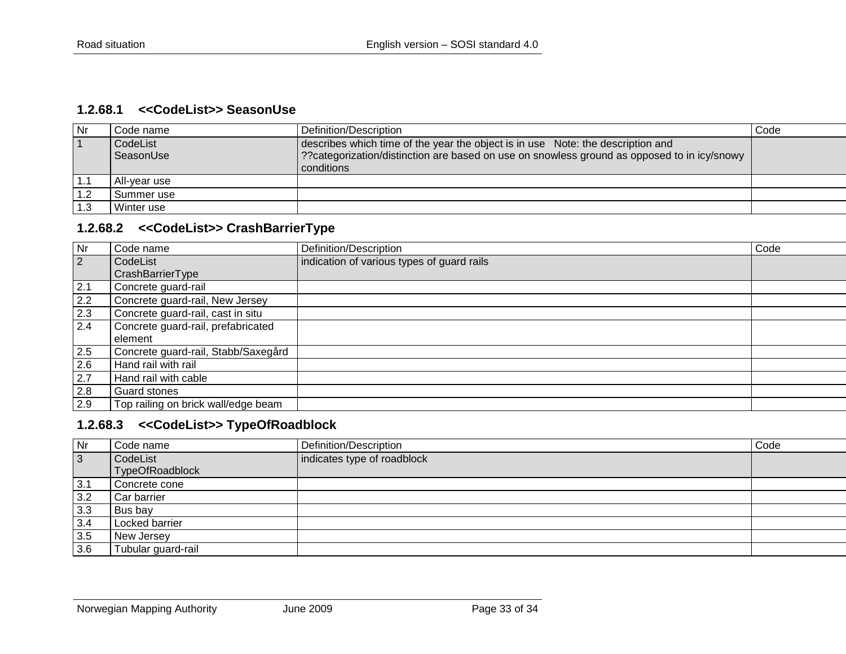#### **1.2.68.1 <<CodeList>> SeasonUse**

| Nr  | Code name    | Definition/Description                                                                      | Code |
|-----|--------------|---------------------------------------------------------------------------------------------|------|
|     | CodeList     | describes which time of the year the object is in use Note: the description and             |      |
|     | SeasonUse    | ??categorization/distinction are based on use on snowless ground as opposed to in icy/snowy |      |
|     |              | conditions                                                                                  |      |
| 1.1 | All-vear use |                                                                                             |      |
| 1.2 | l Summer use |                                                                                             |      |
| 1.3 | Winter use   |                                                                                             |      |

#### **1.2.68.2 <<CodeList>> CrashBarrierType**

<span id="page-32-0"></span>

| <b>Nr</b>      | Code name                           | Definition/Description                     | Code |
|----------------|-------------------------------------|--------------------------------------------|------|
| $\overline{2}$ | CodeList                            | indication of various types of guard rails |      |
|                | CrashBarrierType                    |                                            |      |
| 2.1            | Concrete guard-rail                 |                                            |      |
| 2.2            | Concrete guard-rail, New Jersey     |                                            |      |
| 2.3            | Concrete guard-rail, cast in situ   |                                            |      |
| 2.4            | Concrete guard-rail, prefabricated  |                                            |      |
|                | element                             |                                            |      |
| 2.5            | Concrete guard-rail, Stabb/Saxegård |                                            |      |
| 2.6            | Hand rail with rail                 |                                            |      |
| 2.7            | Hand rail with cable                |                                            |      |
| 2.8            | Guard stones                        |                                            |      |
| 2.9            | Top railing on brick wall/edge beam |                                            |      |

# <span id="page-32-1"></span>**1.2.68.3 <<CodeList>> TypeOfRoadblock**

<span id="page-32-2"></span>

| Nr        | Code name                   | Definition/Description      | Code |
|-----------|-----------------------------|-----------------------------|------|
| $\vert$ 3 | CodeList<br>TypeOfRoadblock | indicates type of roadblock |      |
| 3.1       | Concrete cone               |                             |      |
| 3.2       | Car barrier                 |                             |      |
| 3.3       | Bus bay                     |                             |      |
| 3.4       | Locked barrier              |                             |      |
| 3.5       | New Jersey                  |                             |      |
| 3.6       | Tubular guard-rail          |                             |      |